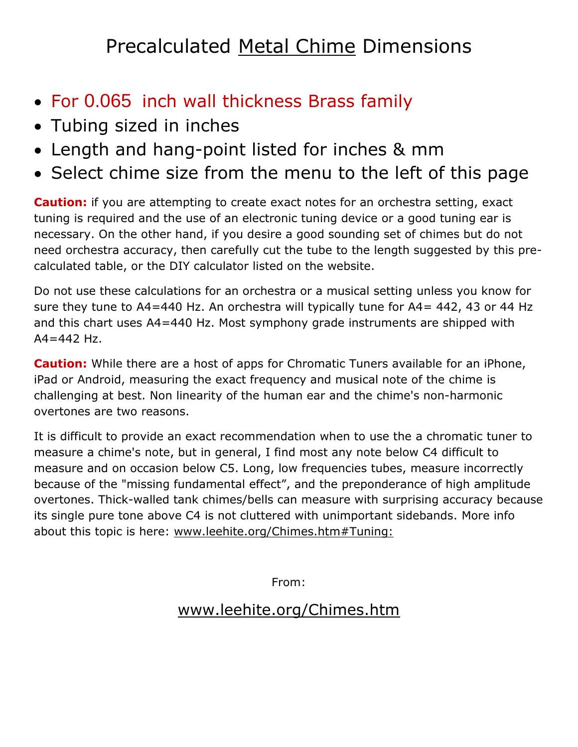## Precalculated Metal Chime Dimensions

- For 0.065 inch wall thickness Brass family
- Tubing sized in inches
- Length and hang-point listed for inches & mm
- Select chime size from the menu to the left of this page

**Caution:** if you are attempting to create exact notes for an orchestra setting, exact tuning is required and the use of an electronic tuning device or a good tuning ear is necessary. On the other hand, if you desire a good sounding set of chimes but do not need orchestra accuracy, then carefully cut the tube to the length suggested by this precalculated table, or the DIY calculator listed on the website.

Do not use these calculations for an orchestra or a musical setting unless you know for sure they tune to A4=440 Hz. An orchestra will typically tune for A4= 442, 43 or 44 Hz and this chart uses A4=440 Hz. Most symphony grade instruments are shipped with  $A4 = 442$  Hz.

**Caution:** While there are a host of apps for Chromatic Tuners available for an iPhone, iPad or Android, measuring the exact frequency and musical note of the chime is challenging at best. Non linearity of the human ear and the chime's non-harmonic overtones are two reasons.

It is difficult to provide an exact recommendation when to use the a chromatic tuner to measure a chime's note, but in general, I find most any note below C4 difficult to measure and on occasion below C5. Long, low frequencies tubes, measure incorrectly because of the "missing fundamental effect", and the preponderance of high amplitude overtones. Thick-walled tank chimes/bells can measure with surprising accuracy because its single pure tone above C4 is not cluttered with unimportant sidebands. More info about this topic is here: [www.leehite.org/Chimes.htm#Tuning:](http://leehite.org/Chimes.htm#Tuning:)

From:

## [www.leehite.org/Chimes.htm](http://www.leehite.org/Chimes.htm)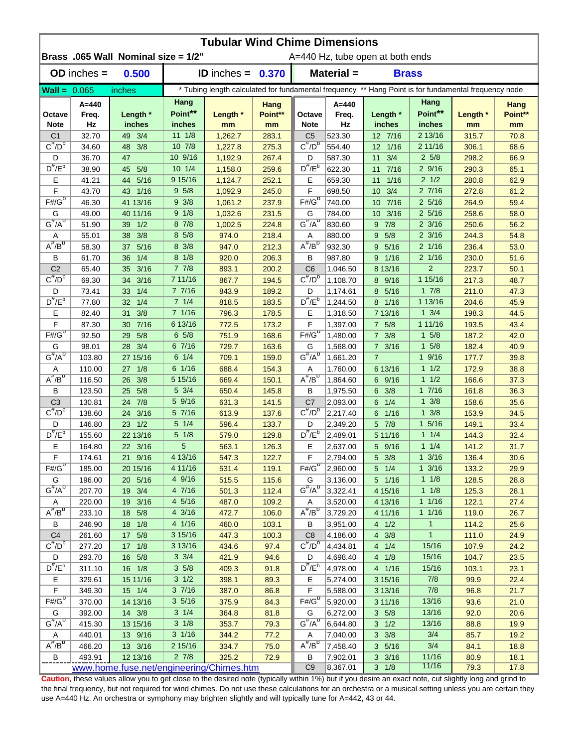|                         | <b>Tubular Wind Chime Dimensions</b> |                                          |                   |                            |                 |                                                                                                      |                      |                                       |                               |                |                 |  |  |
|-------------------------|--------------------------------------|------------------------------------------|-------------------|----------------------------|-----------------|------------------------------------------------------------------------------------------------------|----------------------|---------------------------------------|-------------------------------|----------------|-----------------|--|--|
|                         |                                      | Brass .065 Wall Nominal size = 1/2"      |                   |                            |                 |                                                                                                      |                      | A=440 Hz, tube open at both ends      |                               |                |                 |  |  |
|                         | $OD$ inches $=$                      | 0.500                                    |                   | <b>ID</b> inches = $0.370$ |                 |                                                                                                      | Material =           | <b>Brass</b>                          |                               |                |                 |  |  |
| $\text{Wall} = 0.065$   |                                      | inches                                   |                   |                            |                 | * Tubing length calculated for fundamental frequency ** Hang Point is for fundamental frequency node |                      |                                       |                               |                |                 |  |  |
| Octave                  | $A = 440$<br>Freq.                   | Length *                                 | Hang<br>Point**   | Length *                   | Hang<br>Point** | Octave                                                                                               | $A = 440$<br>Freq.   | Length *                              | Hang<br>Point**               | Length *       | Hang<br>Point** |  |  |
| <b>Note</b>             | Hz                                   | inches                                   | inches            | mm                         | mm              | <b>Note</b>                                                                                          | Hz                   | inches                                | inches                        | mm             | mm              |  |  |
| C <sub>1</sub>          | 32.70                                | 49 3/4                                   | $11 \t1/8$        | 1,262.7                    | 283.1           | C <sub>5</sub>                                                                                       | 523.30               | 12 7/16                               | 2 13/16                       | 315.7          | 70.8            |  |  |
| $C^{\frac{\pi}{}}/D^b$  | 34.60                                | 48 3/8                                   | 10 7/8            | 1,227.8                    | 275.3           | $C^{\pi}/D^b$                                                                                        | 554.40               | 12 1/16                               | 2 11/16                       | 306.1          | 68.6            |  |  |
| D                       | 36.70                                | 47                                       | 10 9/16           | 1,192.9                    | 267.4           | D                                                                                                    | 587.30               | 11<br>3/4                             | $2\,5/8$                      | 298.2          | 66.9            |  |  |
| $D^{\#}/E^b$            | 38.90                                | 5/8<br>45                                | $10 \t1/4$        | 1,158.0                    | 259.6           | $D^{\#}/E^b$                                                                                         | 622.30               | 11<br>7/16                            | 29/16                         | 290.3          | 65.1            |  |  |
| Е                       | 41.21                                | 44 5/16                                  | 9 15/16<br>95/8   | 1,124.7                    | 252.1           | Е                                                                                                    | 659.30               | $1/16$<br>11                          | $2 \frac{1}{2}$<br>27/16      | 280.8          | 62.9            |  |  |
| F<br>$F# / G^D$         | 43.70<br>46.30                       | 43 1/16                                  | $9 \frac{3}{8}$   | 1,092.9                    | 245.0           | F<br>$F#/G^D$                                                                                        | 698.50               | 3/4<br>10                             | $2\,5/16$                     | 272.8          | 61.2            |  |  |
| G                       | 49.00                                | 41 13/16<br>40 11/16                     | 9 1/8             | 1,061.2<br>1,032.6         | 237.9<br>231.5  | G                                                                                                    | 740.00<br>784.00     | 7/16<br>10<br>3/16<br>10 <sup>1</sup> | $2\,5/16$                     | 264.9<br>258.6 | 59.4<br>58.0    |  |  |
| $G^{\#}/A^D$            | 51.90                                | 39 1/2                                   | 8 7/8             | 1,002.5                    | 224.8           | $G^{\overline{n}}/A^D$                                                                               | 830.60               | 7/8<br>9                              | $2 \frac{3}{16}$              | 250.6          | 56.2            |  |  |
| Α                       | 55.01                                | 38<br>3/8                                | 8 5/8             | 974.0                      | 218.4           | A                                                                                                    | 880.00               | 5/8<br>9                              | $2 \frac{3}{16}$              | 244.3          | 54.8            |  |  |
| $A^{\#}/B^D$            | 58.30                                | 5/16<br>37                               | 8 3/8             | 947.0                      | 212.3           | $A^H/B^D$                                                                                            | 932.30               | 5/16<br>9                             | $2 \frac{1}{16}$              | 236.4          | 53.0            |  |  |
| В                       | 61.70                                | 1/4<br>36                                | $8 \frac{1}{8}$   | 920.0                      | 206.3           | В                                                                                                    | 987.80               | 1/16<br>9                             | 2 1/16                        | 230.0          | 51.6            |  |  |
| C <sub>2</sub>          | 65.40                                | 3/16<br>35 <sup>2</sup>                  | 77/8              | 893.1                      | 200.2           | C <sub>6</sub>                                                                                       | 1,046.50             | 8 13/16                               | $\overline{2}$                | 223.7          | 50.1            |  |  |
| $C^{\prime\prime}/D^D$  | 69.30                                | 3/16<br>34                               | 7 11/16           | 867.7                      | 194.5           | $C^{\#}/D^D$                                                                                         | 1,108.70             | 9/16<br>8                             | 1 15/16                       | 217.3          | 48.7            |  |  |
| D                       | 73.41                                | 33<br>1/4                                | 77/16             | 843.9                      | 189.2           | D                                                                                                    | 1,174.61             | 8<br>5/16                             | 17/8                          | 211.0          | 47.3            |  |  |
| $D^{\pi}/E^b$           | 77.80                                | 1/4<br>32                                | 71/4              | 818.5                      | 183.5           | $D^{\#}/E^b$                                                                                         | 1,244.50             | 8 1/16                                | 1 13/16                       | 204.6          | 45.9            |  |  |
| Е                       | 82.40                                | 3/8<br>31                                | 7 1/16            | 796.3                      | 178.5           | Е                                                                                                    | 1,318.50             | 7 13/16                               | $1 \frac{3}{4}$               | 198.3          | 44.5            |  |  |
| F                       | 87.30                                | $7/16$<br>30                             | 6 13/16           | 772.5                      | 173.2           | F                                                                                                    | 1,397.00             | 7 5/8                                 | 1 11/16                       | 193.5          | 43.4            |  |  |
| $F# / G^D$              | 92.50                                | 5/8<br>29                                | $6\;5/8$          | 751.9                      | 168.6           | $F#/\overline{G}^D$                                                                                  | 1,480.00             | $7 \frac{3}{8}$                       | $1 \t5/8$                     | 187.2          | 42.0            |  |  |
| G                       | 98.01                                | 28 3/4                                   | 67/16             | 729.7                      | 163.6           | G                                                                                                    | 1,568.00             | 7 3/16                                | $1 \t5/8$                     | 182.4          | 40.9            |  |  |
| $G^{\overline{r}}/A^D$  | 103.80                               | 27 15/16                                 | $6 \t1/4$         | 709.1                      | 159.0           | $G^{\#}/A^D$                                                                                         | 1,661.20             | $\overline{7}$                        | 19/16                         | 177.7          | 39.8            |  |  |
| Α                       | 110.00                               | 27 1/8                                   | 6 1/16            | 688.4                      | 154.3           | Α                                                                                                    | 1,760.00             | 6 13/16                               | 11/2                          | 172.9          | 38.8            |  |  |
| $A^{\#}/B^D$            | 116.50                               | 3/8<br>26                                | 5 15/16           | 669.4                      | 150.1           | $A^H/B^D$                                                                                            | 1,864.60             | 6 9/16                                | 11/2                          | 166.6          | 37.3            |  |  |
| В                       | 123.50                               | 25 5/8                                   | $5 \frac{3}{4}$   | 650.4                      | 145.8           | В                                                                                                    | 1,975.50             | $6 \frac{3}{8}$                       | 17/16                         | 161.8          | 36.3            |  |  |
| C <sub>3</sub>          | 130.81                               | 24 7/8                                   | 5 9/16            | 631.3                      | 141.5           | C7                                                                                                   | 2,093.00             | $6 \t1/4$                             | $1 \frac{3}{8}$               | 158.6          | 35.6            |  |  |
| $C^{\prime\prime}/D^b$  | 138.60                               | 24 3/16                                  | 5 7/16            | 613.9                      | 137.6           | $C^{\prime\prime}/D^{\prime\prime}$                                                                  | 2,217.40             | 6 1/16                                | $1 \frac{3}{8}$               | 153.9          | 34.5            |  |  |
| D                       | 146.80                               | 23 1/2                                   | $5 \t1/4$         | 596.4                      | 133.7           | D                                                                                                    | 2,349.20             | 5 7/8                                 | $1 \frac{5}{16}$              | 149.1          | 33.4            |  |  |
| $D^{\#}/E^b$            | 155.60                               | 22 13/16                                 | $5 \frac{1}{8}$   | 579.0                      | 129.8           | $D^{\#}/E^b$                                                                                         | 2,489.01             | 5 11/16                               | 11/4                          | 144.3          | 32.4            |  |  |
| Е<br>$\mathsf F$        | 164.80                               | 22 3/16                                  | 5<br>4 13/16      | 563.1                      | 126.3           | Е<br>F.                                                                                              | 2,637.00             | 5 9/16<br>$5 \t3/8$                   | 11/4<br>$1 \frac{3}{16}$      | 141.2          | 31.7            |  |  |
| $F# / G^{D}$            | 174.61                               | 21 9/16                                  |                   | 547.3                      | 122.7           | $F#/\overline{G}^D$                                                                                  | 2,794.00             |                                       |                               | 136.4          | 30.6            |  |  |
| G                       | 185.00<br>196.00                     | 20 15/16<br>20 5/16                      | 4 11/16<br>4 9/16 | 531.4<br>515.5             | 119.1<br>115.6  | G                                                                                                    | 2,960.00<br>3,136.00 | $5 \t1/4$<br>5 1/16                   | $1 \frac{3}{16}$<br>$1 \t1/8$ | 133.2<br>128.5 | 29.9<br>28.8    |  |  |
| $G^{\#}/A^D$            | 207.70                               | 19 3/4                                   | 4 7/16            | 501.3                      | 112.4           | $G^{\overline{n}}/A^{\overline{0}}$                                                                  | 3,322.41             | 4 15/16                               | $1 \t1/8$                     | 125.3          | 28.1            |  |  |
| A                       | 220.00                               | 19 3/16                                  | 4 5/16            | 487.0                      | 109.2           | A                                                                                                    | 3,520.00             | 4 13/16                               | 11/16                         | 122.1          | 27.4            |  |  |
| $A^{\#}/B^D$            | 233.10                               | 18 5/8                                   | 4 3/16            | 472.7                      | 106.0           | $A^{\#}/B^D$                                                                                         | 3,729.20             | 4 11/16                               | 11/16                         | 119.0          | 26.7            |  |  |
| В                       | 246.90                               | 18 1/8                                   | 4 1/16            | 460.0                      | 103.1           | B                                                                                                    | 3,951.00             | 4 1/2                                 | $\mathbf{1}$                  | 114.2          | 25.6            |  |  |
| C <sub>4</sub>          | 261.60                               | 17 5/8                                   | 3 15/16           | 447.3                      | 100.3           | C <sub>8</sub>                                                                                       | 4,186.00             | $4 \t3/8$                             | $\mathbf{1}$                  | 111.0          | 24.9            |  |  |
| $C^{\#}/D^b$            | 277.20                               | 17 1/8                                   | 3 13/16           | 434.6                      | 97.4            | $C^{\overline{n}}$ / $D^{\overline{b}}$                                                              | 4,434.81             | 4 1/4                                 | 15/16                         | 107.9          | 24.2            |  |  |
| D                       | 293.70                               | 16 5/8                                   | $3 \frac{3}{4}$   | 421.9                      | 94.6            | D                                                                                                    | 4,698.40             | 4 1/8                                 | 15/16                         | 104.7          | 23.5            |  |  |
| $D^{\frac{\pi}{r}}/E^b$ | 311.10                               | 16 1/8                                   | $3\,5/8$          | 409.3                      | 91.8            | $D^{\pi}/E^b$                                                                                        | 4,978.00             | 4 1/16                                | 15/16                         | 103.1          | 23.1            |  |  |
| Е                       | 329.61                               | 15 11/16                                 | $3 \frac{1}{2}$   | 398.1                      | 89.3            | Е                                                                                                    | 5,274.00             | 3 15/16                               | 7/8                           | 99.9           | 22.4            |  |  |
| F                       | 349.30                               | 15 1/4                                   | 37/16             | 387.0                      | 86.8            | F                                                                                                    | 5,588.00             | 3 13/16                               | 7/8                           | 96.8           | 21.7            |  |  |
| $F#/\overline{G}^D$     | 370.00                               | 14 13/16                                 | 35/16             | 375.9                      | 84.3            | $F# / G^D$                                                                                           | 5,920.00             | 3 11/16                               | 13/16                         | 93.6           | 21.0            |  |  |
| G                       | 392.00                               | 14 3/8                                   | $3 \t1/4$         | 364.8                      | 81.8            | G                                                                                                    | 6,272.00             | 3 5/8                                 | 13/16                         | 92.0           | 20.6            |  |  |
| $G^{\#}/A^D$            | 415.30                               | 13 15/16                                 | $3 \frac{1}{8}$   | 353.7                      | 79.3            | $G^H/A^D$                                                                                            | 6,644.80             | $3 \frac{1}{2}$                       | 13/16                         | 88.8           | 19.9            |  |  |
| Α                       | 440.01                               | 13 9/16                                  | $3 \frac{1}{16}$  | 344.2                      | 77.2            | A                                                                                                    | 7,040.00             | $3 \frac{3}{8}$                       | 3/4                           | 85.7           | 19.2            |  |  |
| $A^H/B^D$               | 466.20                               | 13 3/16                                  | 2 15/16           | 334.7                      | 75.0            | $A^H/B^D$                                                                                            | 7,458.40             | $3\frac{5}{16}$                       | 3/4                           | 84.1           | 18.8            |  |  |
| B                       | 493.91                               | 12 13/16                                 | $2 \frac{7}{8}$   | 325.2                      | 72.9            | В                                                                                                    | 7,902.01             | $3 \frac{3}{16}$                      | 11/16                         | 80.9           | 18.1            |  |  |
|                         |                                      | www.home.fuse.net/engineering/Chimes.htm |                   |                            |                 | C <sub>9</sub>                                                                                       | 8,367.01             | $3 \t1/8$                             | 11/16                         | 79.3           | 17.8            |  |  |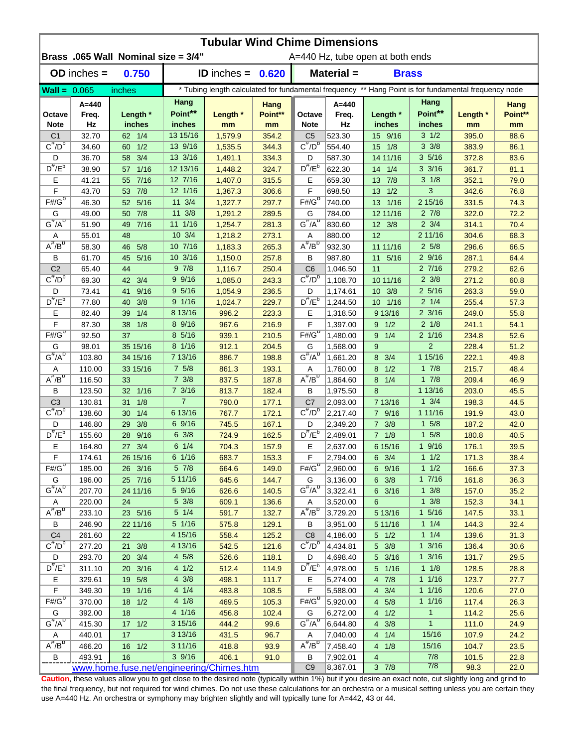| <b>Tubular Wind Chime Dimensions</b> |                  |                                          |                          |                      |                 |                                                                                                      |                      |                                  |                           |                |                        |  |
|--------------------------------------|------------------|------------------------------------------|--------------------------|----------------------|-----------------|------------------------------------------------------------------------------------------------------|----------------------|----------------------------------|---------------------------|----------------|------------------------|--|
|                                      |                  | Brass .065 Wall Nominal size = 3/4"      |                          |                      |                 |                                                                                                      |                      | A=440 Hz, tube open at both ends |                           |                |                        |  |
|                                      | $OD$ inches $=$  | 0.750                                    |                          | <b>ID</b> inches $=$ | 0.620           |                                                                                                      | Material =           |                                  | <b>Brass</b>              |                |                        |  |
| $Wall = 0.065$                       |                  | inches                                   |                          |                      |                 | * Tubing length calculated for fundamental frequency ** Hang Point is for fundamental frequency node |                      |                                  |                           |                |                        |  |
| Octave                               | A=440<br>Freq.   | Length *                                 | Hang<br>Point**          | Length *             | Hang<br>Point** | Octave                                                                                               | $A = 440$<br>Freq.   | Length *                         | Hang<br>Point**           | Length *       | <b>Hang</b><br>Point** |  |
| <b>Note</b>                          | Hz               | inches                                   | inches                   | mm                   | mm              | <b>Note</b>                                                                                          | Hz                   | inches                           | inches                    | mm             | mm                     |  |
| C <sub>1</sub>                       | 32.70            | 62 1/4                                   | 13 15/16                 | 1,579.9              | 354.2           | C <sub>5</sub>                                                                                       | 523.30               | 15 9/16                          | $3 \frac{1}{2}$           | 395.0          | 88.6                   |  |
| $C^{\#}/D^b$                         | 34.60            | 1/2<br>60                                | 13 9/16                  | 1,535.5              | 344.3           | $C^{\pi}/D^b$                                                                                        | 554.40               | 15 1/8                           | $3 \frac{3}{8}$           | 383.9          | 86.1                   |  |
| D<br>$D^{\#}/E^b$                    | 36.70            | 58 3/4                                   | 13 3/16                  | 1,491.1              | 334.3           | D<br>$D^{\#}/E^b$                                                                                    | 587.30               | 14 11/16                         | 35/16<br>$3 \frac{3}{16}$ | 372.8          | 83.6                   |  |
|                                      | 38.90<br>41.21   | $1/16$<br>57                             | 12 13/16<br>12 7/16      | 1,448.2              | 324.7           |                                                                                                      | 622.30               | 14 1/4                           | $3 \frac{1}{8}$           | 361.7          | 81.1                   |  |
| Е<br>F                               | 43.70            | 7/16<br>55<br>53 7/8                     | 12 1/16                  | 1,407.0<br>1,367.3   | 315.5<br>306.6  | Е<br>F                                                                                               | 659.30<br>698.50     | 13 7/8<br>1/2<br>13              | 3                         | 352.1<br>342.6 | 79.0<br>76.8           |  |
| $F# / G^D$                           | 46.30            | 5/16<br>52 <sub>2</sub>                  | 11 3/4                   | 1,327.7              | 297.7           | $F#/\overline{G}^D$                                                                                  | 740.00               | 1/16<br>13                       | 2 15/16                   | 331.5          | 74.3                   |  |
| G                                    | 49.00            | 7/8<br>50                                | 11 3/8                   | 1,291.2              | 289.5           | G                                                                                                    | 784.00               | 12 11/16                         | $2 \frac{7}{8}$           | 322.0          | 72.2                   |  |
| $G^{\#}/A^D$                         | 51.90            | $7/16$<br>49                             | 11 1/16                  | 1,254.7              | 281.3           | $G''/A^D$                                                                                            | 830.60               | 12 3/8                           | $2 \frac{3}{4}$           | 314.1          | 70.4                   |  |
| Α                                    | 55.01            | 48                                       | 10 3/4                   | 1,218.2              | 273.1           | Α                                                                                                    | 880.00               | 12                               | 2 11/16                   | 304.6          | 68.3                   |  |
| $A^{\#}/B^D$                         | 58.30            | 5/8<br>46                                | 10 7/16                  | 1,183.3              | 265.3           | $A^H/B^D$                                                                                            | 932.30               | 11 11/16                         | $2\,5/8$                  | 296.6          | 66.5                   |  |
| В                                    | 61.70            | 5/16<br>45                               | 10 3/16                  | 1,150.0              | 257.8           | В                                                                                                    | 987.80               | 11<br>5/16                       | 29/16                     | 287.1          | 64.4                   |  |
| C <sub>2</sub>                       | 65.40            | 44                                       | 97/8                     | 1,116.7              | 250.4           | C <sub>6</sub>                                                                                       | 1,046.50             | 11                               | 27/16                     | 279.2          | 62.6                   |  |
| $C^{\overline{n}}/D^D$               | 69.30            | 3/4<br>42                                | 9 9/16                   | 1,085.0              | 243.3           | $C^{\#}/D^D$                                                                                         | 1,108.70             | 10 11/16                         | $2 \frac{3}{8}$           | 271.2          | 60.8                   |  |
| D                                    | 73.41            | 9/16<br>41                               | 9 5/16                   | 1,054.9              | 236.5           | D                                                                                                    | 1,174.61             | 3/8<br>10                        | $2\,5/16$                 | 263.3          | 59.0                   |  |
| $D^{\#}/E^b$                         | 77.80            | 3/8<br>40                                | 9 1/16                   | 1,024.7              | 229.7           | $D^{\pi}/E^b$                                                                                        | 1,244.50             | 1/16<br>10 <sup>1</sup>          | $2 \t1/4$                 | 255.4          | 57.3                   |  |
| Е                                    | 82.40            | 1/4<br>39                                | 8 13/16                  | 996.2                | 223.3           | E                                                                                                    | 1,318.50             | 9 13/16                          | $2 \frac{3}{16}$          | 249.0          | 55.8                   |  |
| F                                    | 87.30            | 1/8<br>38                                | 8 9/16                   | 967.6                | 216.9           | F                                                                                                    | 1,397.00             | $9 \t1/2$                        | $2 \frac{1}{8}$           | 241.1          | 54.1                   |  |
| $F\overline{\#/G^D}$                 | 92.50            | 37                                       | 8 5/16                   | 939.1                | 210.5           | $F#/\overline{G}^D$                                                                                  | 1,480.00             | 1/4<br>9                         | 2 1/16                    | 234.8          | 52.6                   |  |
| G                                    | 98.01            | 35 15/16                                 | 8 1/16                   | 912.1                | 204.5           | G                                                                                                    | 1,568.00             | 9                                | 2                         | 228.4          | 51.2                   |  |
| $G^{\#}/A^D$                         | 103.80           | 34 15/16                                 | 7 13/16                  | 886.7                | 198.8           | $G^{\#}/A^D$                                                                                         | 1,661.20             | 3/4<br>8                         | 1 15/16                   | 222.1          | 49.8                   |  |
| Α                                    | 110.00           | 33 15/16                                 | $7\;5/8$                 | 861.3                | 193.1           | Α                                                                                                    | 1,760.00             | 1/2<br>8                         | 17/8                      | 215.7          | 48.4                   |  |
| $A^{\#}/B^D$                         | 116.50           | 33                                       | $7 \frac{3}{8}$          | 837.5                | 187.8           | $A^{\#}/B^D$                                                                                         | 1,864.60             | 1/4<br>8                         | 17/8                      | 209.4          | 46.9                   |  |
| В                                    | 123.50           | 32 1/16                                  | $7 \frac{3}{16}$         | 813.7                | 182.4           | В                                                                                                    | 1,975.50             | 8                                | 1 13/16                   | 203.0          | 45.5                   |  |
| C <sub>3</sub>                       | 130.81           | 1/8<br>31                                | $\overline{7}$           | 790.0                | 177.1           | C7                                                                                                   | 2,093.00             | 7 13/16                          | $1 \frac{3}{4}$           | 198.3          | 44.5                   |  |
| $C^{\#}/D^b$                         | 138.60           | 1/4<br>30                                | 6 13/16                  | 767.7                | 172.1           | $C^{\prime\prime}/D^{\prime\prime}$                                                                  | 2,217.40             | 7 9/16                           | 1 11/16                   | 191.9          | 43.0                   |  |
| D                                    | 146.80           | 3/8<br>29                                | 69/16                    | 745.5                | 167.1           | D                                                                                                    | 2,349.20             | $7 \frac{3}{8}$                  | $1 \t5/8$                 | 187.2          | 42.0                   |  |
| $D^{\#}/E^b$                         | 155.60           | 9/16<br>28                               | $6 \frac{3}{8}$          | 724.9                | 162.5           | $D^{\#}/E^b$                                                                                         | 2,489.01             | 7 1/8                            | $1 \t5/8$                 | 180.8          | 40.5                   |  |
| Е                                    | 164.80           | 27 3/4                                   | $6 \t1/4$                | 704.3                | 157.9           | Е                                                                                                    | 2,637.00             | 6 15/16                          | 19/16                     | 176.1          | 39.5                   |  |
| $\widetilde{F}$                      | 174.61           | 26 15/16                                 | 6 1/16                   | 683.7                | 153.3           | F                                                                                                    | 2,794.00             | $6 \t3/4$                        | $1 \t1/2$                 | 171.3          | 38.4                   |  |
| $F# / G^D$                           | 185.00           | 26 3/16                                  | $5 \frac{7}{8}$          | 664.6                | 149.0           | $F#/\overline{G}^D$                                                                                  | 2,960.00             | 6 9/16                           | 11/2                      | 166.6          | 37.3                   |  |
| G                                    | 196.00           | 25 7/16                                  | 5 11/16                  | 645.6                | 144.7           | G                                                                                                    | 3,136.00             | $6 \t3/8$                        | 17/16                     | 161.8          | 36.3                   |  |
| $G^{\#}/A^D$                         | 207.70           | 24 11/16                                 | 5 9/16                   | 626.6                | 140.5           | $G^H/A^D$                                                                                            | 3,322.41             | 6 3/16                           | $1 \frac{3}{8}$           | 157.0          | 35.2                   |  |
| A                                    | 220.00           | 24                                       | $5 \frac{3}{8}$          | 609.1                | 136.6           | A                                                                                                    | 3,520.00             | 6                                | $1 \frac{3}{8}$           | 152.3          | 34.1                   |  |
| $A^{\#}/B^D$                         | 233.10           | 23 5/16                                  | $5 \t1/4$                | 591.7                | 132.7           | $A^{\#}/B^D$                                                                                         | 3,729.20             | 5 13/16                          | $1 \t5/16$                | 147.5          | 33.1                   |  |
| В                                    | 246.90           | 22 11/16                                 | 5 1/16                   | 575.8                | 129.1           | В                                                                                                    | 3,951.00             | 5 11/16                          | $1 \t1/4$                 | 144.3          | 32.4                   |  |
| C <sub>4</sub>                       | 261.60           | 22                                       | 4 15/16                  | 558.4                | 125.2           | C8                                                                                                   | 4,186.00             | $5 \t1/2$                        | $1 \t1/4$                 | 139.6          | 31.3                   |  |
| $C^{\#}/D^b$                         | 277.20           | 21 3/8                                   | 4 13/16                  | 542.5                | 121.6           | $C^{\pi}/D^b$                                                                                        | 4,434.81             | $5 \frac{3}{8}$                  | $1 \frac{3}{16}$          | 136.4          | 30.6                   |  |
| D<br>$D^{\#}/E^b$                    | 293.70           | 20 3/4                                   | $4\,5/8$                 | 526.6                | 118.1           | D<br>$D^{\#}/E^b$                                                                                    | 4,698.40             | 5 3/16                           | $1 \frac{3}{16}$          | 131.7          | 29.5                   |  |
|                                      | 311.10           | 20 3/16                                  | 4 1/2                    | 512.4                | 114.9           |                                                                                                      | 4,978.00             | 5 1/16                           | 11/8                      | 128.5          | 28.8                   |  |
| Е<br>F                               | 329.61<br>349.30 | 19 5/8<br>19 1/16                        | $4 \frac{3}{8}$<br>4 1/4 | 498.1<br>483.8       | 111.7           | Е<br>F                                                                                               | 5,274.00             | 4 7/8<br>$4 \t3/4$               | 11/16<br>$1 \t1/16$       | 123.7<br>120.6 | 27.7<br>27.0           |  |
| $F# / G^D$                           | 370.00           | $18 \t1/2$                               | 4 1/8                    | 469.5                | 108.5<br>105.3  | $F# / G^D$                                                                                           | 5,588.00<br>5,920.00 | 4 5/8                            | 11/16                     | 117.4          | 26.3                   |  |
| G                                    | 392.00           | 18                                       | 4 1/16                   | 456.8                | 102.4           | G                                                                                                    | 6,272.00             | $4 \t1/2$                        | $\mathbf{1}$              | 114.2          | 25.6                   |  |
| $G^{\#}/A^D$                         | 415.30           | $17 \t1/2$                               | 3 15/16                  | 444.2                | 99.6            | $G^H/A^D$                                                                                            | 6,644.80             | $4 \frac{3}{8}$                  | $\mathbf{1}$              | 111.0          | 24.9                   |  |
| Α                                    | 440.01           | 17                                       | 3 13/16                  | 431.5                | 96.7            | Α                                                                                                    | 7,040.00             | 4 1/4                            | 15/16                     | 107.9          | 24.2                   |  |
| $A^H/B^D$                            | 466.20           | 16 1/2                                   | 3 11/16                  | 418.8                | 93.9            | $A^H/B^D$                                                                                            | 7,458.40             | 4 1/8                            | 15/16                     | 104.7          | 23.5                   |  |
| B                                    | 493.91           | 16                                       | 39/16                    | 406.1                | 91.0            | В                                                                                                    | 7,902.01             | 4                                | 7/8                       | 101.5          | 22.8                   |  |
|                                      |                  | www.home.fuse.net/engineering/Chimes.htm |                          |                      |                 | C <sub>9</sub>                                                                                       | 8,367.01             | $3 \t7/8$                        | 7/8                       | 98.3           | 22.0                   |  |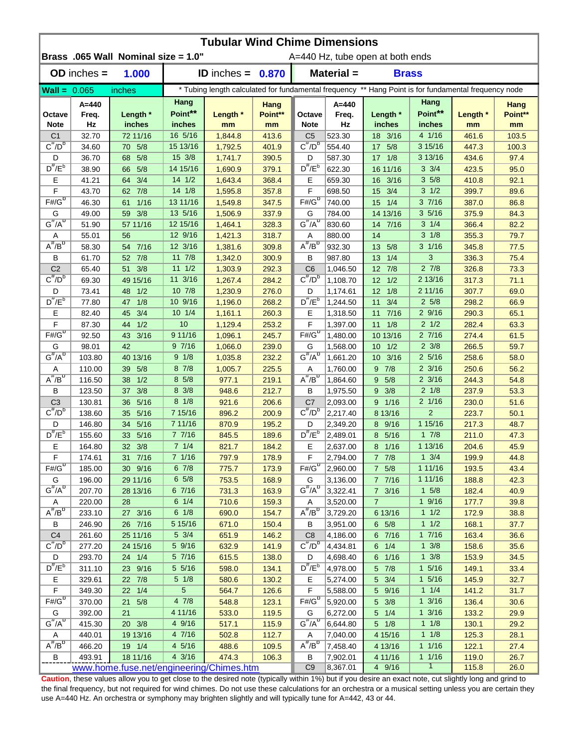| <b>Tubular Wind Chime Dimensions</b> |                 |                                          |                            |                     |                |                                                                                                      |                  |                          |                         |                |              |  |  |
|--------------------------------------|-----------------|------------------------------------------|----------------------------|---------------------|----------------|------------------------------------------------------------------------------------------------------|------------------|--------------------------|-------------------------|----------------|--------------|--|--|
|                                      |                 | Brass .065 Wall Nominal size = 1.0"      |                            |                     |                | A=440 Hz, tube open at both ends                                                                     |                  |                          |                         |                |              |  |  |
|                                      | $OD$ inches $=$ | 1.000                                    |                            | ID inches = $0.870$ |                |                                                                                                      | Material =       | <b>Brass</b>             |                         |                |              |  |  |
| $Wall = 0.065$                       |                 | inches                                   |                            |                     |                | * Tubing length calculated for fundamental frequency ** Hang Point is for fundamental frequency node |                  |                          |                         |                |              |  |  |
|                                      | A=440           |                                          | Hang                       |                     | Hang           |                                                                                                      | $A = 440$        |                          | Hang                    |                | <b>Hang</b>  |  |  |
| Octave                               | Freq.           | Length *                                 | Point**                    | Length *            | Point**        | Octave                                                                                               | Freq.            | Length *                 | Point**                 | Length *       | Point**      |  |  |
| <b>Note</b>                          | Hz              | inches                                   | inches                     | mm                  | mm             | <b>Note</b>                                                                                          | Hz               | inches                   | inches                  | mm             | mm           |  |  |
| C <sub>1</sub>                       | 32.70           | 72 11/16                                 | 16 5/16                    | 1,844.8             | 413.6          | C <sub>5</sub>                                                                                       | 523.30           | 18 3/16                  | 4 1/16                  | 461.6          | 103.5        |  |  |
| $C^{\#}/D^b$                         | 34.60           | 70 5/8                                   | 15 13/16                   | 1,792.5             | 401.9          | $C^{\pi}/D^b$                                                                                        | 554.40           | 17 5/8                   | 3 15/16                 | 447.3          | 100.3        |  |  |
| D                                    | 36.70           | 5/8<br>68                                | 15 3/8                     | 1,741.7             | 390.5          | D                                                                                                    | 587.30           | $17 \t1/8$               | 3 13/16                 | 434.6          | 97.4         |  |  |
| $D^{\#}/E^b$                         | 38.90           | 5/8<br>66                                | 14 15/16                   | 1,690.9             | 379.1          | $D^{\#}/E^b$                                                                                         | 622.30           | 16 11/16                 | $3 \frac{3}{4}$         | 423.5          | 95.0         |  |  |
| Е<br>F                               | 41.21           | 64 3/4                                   | $14 \frac{1}{2}$<br>14 1/8 | 1,643.4             | 368.4          | Е<br>F                                                                                               | 659.30           | 16 3/16                  | 35/8<br>$3 \frac{1}{2}$ | 410.8          | 92.1         |  |  |
| $F# / G^D$                           | 43.70<br>46.30  | 62 7/8                                   | 13 11/16                   | 1,595.8             | 357.8          | $F#/\overline{G}^D$                                                                                  | 698.50           | 3/4<br>15                | 37/16                   | 399.7          | 89.6<br>86.8 |  |  |
|                                      |                 | $1/16$<br>61                             | 13 5/16                    | 1,549.8             | 347.5          |                                                                                                      | 740.00           | 1/4<br>15                | 35/16                   | 387.0          | 84.3         |  |  |
| G<br>$G^{\#}/A^{\sigma}$             | 49.00<br>51.90  | 3/8<br>59<br>57 11/16                    | 12 15/16                   | 1,506.9<br>1,464.1  | 337.9<br>328.3 | G<br>$G''/A^D$                                                                                       | 784.00<br>830.60 | 14 13/16<br>14 7/16      | $3 \t1/4$               | 375.9<br>366.4 | 82.2         |  |  |
| Α                                    | 55.01           | 56                                       | 12 9/16                    | 1,421.3             | 318.7          | Α                                                                                                    | 880.00           | 14                       | $3 \frac{1}{8}$         | 355.3          | 79.7         |  |  |
| $A^{\#}/B^D$                         | 58.30           | 54 7/16                                  | 12 3/16                    | 1,381.6             | 309.8          | $A^H/B^D$                                                                                            | 932.30           | 13<br>5/8                | $3 \frac{1}{16}$        | 345.8          | 77.5         |  |  |
| В                                    | 61.70           | 52 7/8                                   | $11 \t 7/8$                | 1,342.0             | 300.9          | В                                                                                                    | 987.80           | 13<br>1/4                | 3                       | 336.3          | 75.4         |  |  |
| C <sub>2</sub>                       | 65.40           | 3/8<br>51                                | $11 \t1/2$                 | 1,303.9             | 292.3          | C <sub>6</sub>                                                                                       | 1,046.50         | 7/8<br>12                | $2 \t7/8$               | 326.8          | 73.3         |  |  |
| $C^{\prime\prime}/D^D$               | 69.30           | 49 15/16                                 | 11 3/16                    | 1,267.4             | 284.2          | $C^{\#}/D^D$                                                                                         | 1,108.70         | 1/2<br>$12 \overline{ }$ | 2 13/16                 | 317.3          | 71.1         |  |  |
| D                                    | 73.41           | 1/2<br>48                                | 10 7/8                     | 1,230.9             | 276.0          | D                                                                                                    | 1,174.61         | 12<br>1/8                | 2 11/16                 | 307.7          | 69.0         |  |  |
| $D^{\#}/E^b$                         | 77.80           | 1/8<br>47                                | 10 9/16                    | 1,196.0             | 268.2          | $D^{\pi}/E^b$                                                                                        | 1,244.50         | 3/4<br>11                | $2\,5/8$                | 298.2          | 66.9         |  |  |
| Е                                    | 82.40           | 3/4<br>45                                | $10 \t1/4$                 | 1,161.1             | 260.3          | E                                                                                                    | 1,318.50         | 7/16<br>11               | 29/16                   | 290.3          | 65.1         |  |  |
| F                                    | 87.30           | 1/2<br>44                                | 10                         | 1,129.4             | 253.2          | F                                                                                                    | 1,397.00         | 11<br>1/8                | $2 \frac{1}{2}$         | 282.4          | 63.3         |  |  |
| $F\overline{\#/G^D}$                 | 92.50           | 3/16<br>43                               | 9 11/16                    | 1,096.1             | 245.7          | $F#/\overline{G}^D$                                                                                  | 1,480.00         | 10 13/16                 | 27/16                   | 274.4          | 61.5         |  |  |
| G                                    | 98.01           | 42                                       | 97/16                      | 1,066.0             | 239.0          | G                                                                                                    | 1,568.00         | $10 \t1/2$               | $2 \frac{3}{8}$         | 266.5          | 59.7         |  |  |
| $G^{\#}/A^D$                         | 103.80          | 40 13/16                                 | 9 1/8                      | 1,035.8             | 232.2          | $G^{\#}/A^D$                                                                                         | 1,661.20         | 10 3/16                  | $2\;5/16$               | 258.6          | 58.0         |  |  |
| Α                                    | 110.00          | 5/8<br>39                                | 8 7/8                      | 1,005.7             | 225.5          | Α                                                                                                    | 1,760.00         | $9 \t7/8$                | $2 \frac{3}{16}$        | 250.6          | 56.2         |  |  |
| $A^{\#}/B^D$                         | 116.50          | 1/2<br>38                                | 8 5/8                      | 977.1               | 219.1          | $A^{\#}/B^D$                                                                                         | 1,864.60         | 9 5/8                    | $2 \frac{3}{16}$        | 244.3          | 54.8         |  |  |
| В                                    | 123.50          | 3/8<br>37 <sup>2</sup>                   | 8 3/8                      | 948.6               | 212.7          | В                                                                                                    | 1,975.50         | $9 \frac{3}{8}$          | $2 \frac{1}{8}$         | 237.9          | 53.3         |  |  |
| C <sub>3</sub>                       | 130.81          | 5/16<br>36                               | $8 \frac{1}{8}$            | 921.6               | 206.6          | C7                                                                                                   | 2,093.00         | 9 1/16                   | $2 \frac{1}{16}$        | 230.0          | 51.6         |  |  |
| $C^{\#}/D^b$                         | 138.60          | 35 5/16                                  | 7 15/16                    | 896.2               | 200.9          | $C^{\prime\prime}/D^{\prime\prime}$                                                                  | 2,217.40         | 8 13/16                  | $\overline{2}$          | 223.7          | 50.1         |  |  |
| D                                    | 146.80          | 34 5/16                                  | 7 11/16                    | 870.9               | 195.2          | D                                                                                                    | 2,349.20         | 8 9/16                   | 1 15/16                 | 217.3          | 48.7         |  |  |
| $D^{\#}/E^b$                         | 155.60          | 5/16<br>33 <sup>2</sup>                  | 77/16                      | 845.5               | 189.6          | $D^{\#}/E^b$                                                                                         | 2,489.01         | 8 5/16                   | 17/8                    | 211.0          | 47.3         |  |  |
| Е                                    | 164.80          | 32 3/8                                   | 71/4                       | 821.7               | 184.2          | Е                                                                                                    | 2,637.00         | 8 1/16                   | 1 13/16                 | 204.6          | 45.9         |  |  |
| $\tilde{F}$                          | 174.61          | 31 7/16                                  | 7 1/16                     | 797.9               | 178.9          | F                                                                                                    | 2,794.00         | $7 \t7/8$                | $1 \frac{3}{4}$         | 199.9          | 44.8         |  |  |
| $F# / G^D$                           | 185.00          | 30 9/16                                  | 67/8                       | 775.7               | 173.9          | $F#/\overline{G}^D$                                                                                  | 2,960.00         | $7 \t5/8$                | 1 11/16                 | 193.5          | 43.4         |  |  |
| G                                    | 196.00          | 29 11/16                                 | $6\;\;5/8$                 | 753.5               | 168.9          | G                                                                                                    | 3,136.00         | 7 7/16                   | 1 11/16                 | 188.8          | 42.3         |  |  |
| $G^{\#}/A^D$                         | 207.70          | 28 13/16                                 | 6 7/16                     | 731.3               | 163.9          | $G^{\#}/A^{\overline{O}}$                                                                            | 3,322.41         | $7 \frac{3}{16}$         | $1 \t5/8$               | 182.4          | 40.9         |  |  |
| A                                    | 220.00          | 28                                       | $6 \t1/4$                  | 710.6               | 159.3          | A                                                                                                    | 3,520.00         | $\overline{7}$           | 19/16                   | 177.7          | 39.8         |  |  |
| $A^{\#}/B^D$                         | 233.10          | 27 3/16                                  | $6 \t1/8$                  | 690.0               | 154.7          | $A^{\#}/B^D$                                                                                         | 3,729.20         | 6 13/16                  | 11/2                    | 172.9          | 38.8         |  |  |
| В                                    | 246.90          | 26 7/16                                  | 5 15/16                    | 671.0               | 150.4          | В                                                                                                    | 3,951.00         | $6\quad 5/8$             | 11/2                    | 168.1          | 37.7         |  |  |
| C <sub>4</sub>                       | 261.60          | 25 11/16                                 | $5 \frac{3}{4}$            | 651.9               | 146.2          | C8                                                                                                   | 4,186.00         | 6 7/16                   | 17/16                   | 163.4          | 36.6         |  |  |
| $C^{\#}/D^b$                         | 277.20          | 24 15/16                                 | 5 9/16                     | 632.9               | 141.9          | $C^{\pi}/D^b$                                                                                        | 4,434.81         | $6 \t1/4$                | $1 \frac{3}{8}$         | 158.6          | 35.6         |  |  |
| D                                    | 293.70          | 24 1/4                                   | 5 7/16                     | 615.5               | 138.0          | D                                                                                                    | 4,698.40         | 6 1/16                   | $1 \frac{3}{8}$         | 153.9          | 34.5         |  |  |
| $D^{\#}/E^b$                         | 311.10          | 23 9/16                                  | 5 5/16                     | 598.0               | 134.1          | $D^{\#}/E^b$                                                                                         | 4,978.00         | 5 7/8                    | $1 \t5/16$              | 149.1          | 33.4         |  |  |
| Е                                    | 329.61          | 22 7/8                                   | $5 \frac{1}{8}$            | 580.6               | 130.2          | Е                                                                                                    | 5,274.00         | 5 3/4                    | $1 \t5/16$              | 145.9          | 32.7         |  |  |
| F                                    | 349.30          | 22 1/4                                   | $\overline{5}$             | 564.7               | 126.6          | F                                                                                                    | 5,588.00         | 5 9/16                   | $1 \t1/4$               | 141.2          | 31.7         |  |  |
| $F# / G^D$                           | 370.00          | 21<br>5/8                                | 47/8                       | 548.8               | 123.1          | $F# / G^D$                                                                                           | 5,920.00         | 5 3/8                    | $1 \frac{3}{16}$        | 136.4          | 30.6         |  |  |
| G                                    | 392.00          | 21                                       | 4 11/16                    | 533.0               | 119.5          | G                                                                                                    | 6,272.00         | $5 \t1/4$                | $1 \frac{3}{16}$        | 133.2          | 29.9         |  |  |
| $G^{\#}/A^D$                         | 415.30          | 20 3/8                                   | 4 9/16                     | 517.1               | 115.9          | $G^{\#}/A^D$                                                                                         | 6,644.80         | $5 \t1/8$                | $1 \t1/8$               | 130.1          | 29.2         |  |  |
| Α                                    | 440.01          | 19 13/16                                 | 4 7/16                     | 502.8               | 112.7          | Α                                                                                                    | 7,040.00         | 4 15/16                  | $1 \t1/8$               | 125.3          | 28.1         |  |  |
| $A^H/B^D$                            | 466.20          | 19 1/4                                   | 4 5/16                     | 488.6               | 109.5          | $A^H/B^D$                                                                                            | 7,458.40         | 4 13/16                  | 11/16                   | 122.1          | 27.4         |  |  |
| B                                    | 493.91          | 18 11/16                                 | 4 3/16                     | 474.3               | 106.3          | В                                                                                                    | 7,902.01         | 4 11/16                  | 11/16                   | 119.0          | 26.7         |  |  |
|                                      |                 | www.home.fuse.net/engineering/Chimes.htm |                            |                     |                | C <sub>9</sub>                                                                                       | 8,367.01         | 4 9/16                   | $\overline{1}$          | 115.8          | 26.0         |  |  |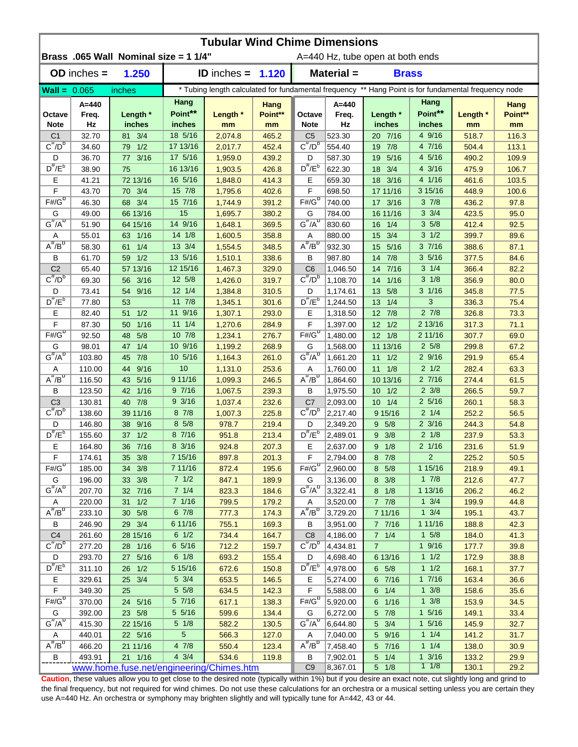| Brass .065 Wall Nominal size = 1 1/4"<br>A=440 Hz, tube open at both ends<br>$OD$ inches $=$<br>1.250<br>Material =<br><b>ID</b> inches $=$<br>1.120<br><b>Brass</b><br>* Tubing length calculated for fundamental frequency ** Hang Point is for fundamental frequency node<br>$Wall = 0.065$<br>inches<br>Hang<br>Hang<br>$A = 440$<br>A=440<br>Hang<br><b>Hang</b><br>Point**<br>Point**<br>Length *<br>Length *<br>Point**<br>Length *<br>Point**<br>Length *<br>Octave<br>Freq.<br>Freq.<br>Octave<br>Hz<br>inches<br>Hz<br>inches<br><b>Note</b><br>inches<br><b>Note</b><br>inches<br>mm<br>mm<br>mm<br>mm<br>18 5/16<br>4 9/16<br>32.70<br>81 3/4<br>523.30<br>20 7/16<br>C <sub>1</sub><br>2,074.8<br>465.2<br>C <sub>5</sub><br>518.7<br>116.3<br>$C^{\#}/D^b$<br>$C^{\pi}/D^b$<br>79 1/2<br>17 13/16<br>452.4<br>554.40<br>7/8<br>4 7/16<br>113.1<br>34.60<br>2,017.7<br>19<br>504.4<br>17 5/16<br>4 5/16<br>3/16<br>439.2<br>5/16<br>D<br>36.70<br>1,959.0<br>587.30<br>490.2<br>109.9<br>77<br>D<br>19<br>$D^{\#}/E^b$<br>$D^{\#}/E^b$<br>16 13/16<br>426.8<br>622.30<br>3/4<br>4 3/16<br>106.7<br>38.90<br>75<br>1,903.5<br>18<br>475.9<br>16 5/16<br>4 1/16<br>41.21<br>72 13/16<br>414.3<br>Е<br>659.30<br>18 3/16<br>Е<br>1,848.0<br>461.6<br>103.5<br>15 7/8<br>F<br>F<br>3 15/16<br>70 3/4<br>43.70<br>1,795.6<br>402.6<br>698.50<br>17 11/16<br>448.9<br>100.6<br>$F# / G^D$<br>$F#/\overline{G}^D$<br>68 3/4<br>$3 \frac{7}{8}$<br>46.30<br>15 7/16<br>391.2<br>740.00<br>17 3/16<br>97.8<br>1,744.9<br>436.2<br>15<br>$3 \frac{3}{4}$<br>66 13/16<br>380.2<br>95.0<br>G<br>49.00<br>1,695.7<br>G<br>784.00<br>16 11/16<br>423.5<br>$G^{\#}/A^D$<br>$G''/A^D$<br>14 9/16<br>35/8<br>51.90<br>64 15/16<br>369.5<br>830.60<br>1/4<br>412.4<br>92.5<br>1,648.1<br>16<br>$3 \frac{1}{2}$<br>63 1/16<br>14 1/8<br>358.8<br>3/4<br>55.01<br>1,600.5<br>880.00<br>15<br>399.7<br>89.6<br>Α<br>Α<br>$A^{\#}/B^D$<br>$A^H/B^D$<br>37/16<br>13 3/4<br>1/4<br>932.30<br>5/16<br>58.30<br>61<br>1,554.5<br>348.5<br>388.6<br>87.1<br>15<br>13 5/16<br>35/16<br>59 1/2<br>338.6<br>7/8<br>В<br>61.70<br>1,510.1<br>В<br>987.80<br>14<br>377.5<br>84.6<br>C <sub>2</sub><br>12 15/16<br>$3 \t1/4$<br>C <sub>6</sub><br>7/16<br>82.2<br>65.40<br>57 13/16<br>1,467.3<br>329.0<br>1,046.50<br>366.4<br>14<br>$C^{\prime\prime}/D^D$<br>$C^{\#}/D^D$<br>$3 \frac{1}{8}$<br>12 5/8<br>1,108.70<br>1/16<br>69.30<br>3/16<br>1,426.0<br>319.7<br>356.9<br>80.0<br>56<br>14<br>$3 \frac{1}{16}$<br>$12 \t1/4$<br>D<br>5/8<br>77.5<br>D<br>73.41<br>9/16<br>1,384.8<br>310.5<br>13<br>345.8<br>54<br>1,174.61<br>$D^{\frac{\pi}{}}/E^b$<br>$D^{\pi}/E^b$<br>11 7/8<br>3<br>77.80<br>301.6<br>1,244.50<br>336.3<br>75.4<br>53<br>1,345.1<br>13<br>1/4<br>11 9/16<br>$2 \frac{7}{8}$<br>Е<br>82.40<br>1/2<br>293.0<br>E<br>12 7/8<br>326.8<br>73.3<br>51<br>1,307.1<br>1,318.50<br>$11 \t1/4$<br>F<br>F<br>1/16<br>2 13/16<br>71.1<br>87.30<br>50<br>1,270.6<br>284.9<br>1,397.00<br>$12 \t1/2$<br>317.3<br>$F\overline{\#/G^D}$<br>$F#/\overline{G}^D$<br>10 7/8<br>2 11/16<br>5/8<br>276.7<br>1,480.00<br>$12 \t1/8$<br>69.0<br>92.50<br>48<br>1,234.1<br>307.7<br>10 9/16<br>$2\,5/8$<br>98.01<br>1/4<br>268.9<br>G<br>11 13/16<br>67.2<br>G<br>47<br>1,199.2<br>1,568.00<br>299.8<br>$G^{\#}/A^D$<br>$G^{\#}/A^D$<br>7/8<br>103.80<br>10 5/16<br>261.0<br>1,661.20<br>$11 \t1/2$<br>29/16<br>65.4<br>45<br>1,164.3<br>291.9<br>10<br>$2 \frac{1}{2}$<br>110.00<br>9/16<br>253.6<br>1,760.00<br>$11 \t1/8$<br>63.3<br>44<br>1,131.0<br>282.4<br>Α<br>Α<br>$A^{\#}/B^D$<br>$A^{\#}/B^D$<br>116.50<br>5/16<br>9 11/16<br>246.5<br>10 13/16<br>27/16<br>43<br>1,099.3<br>1,864.60<br>274.4<br>61.5<br>$1/16$<br>97/16<br>$2 \frac{3}{8}$<br>В<br>123.50<br>1,067.5<br>239.3<br>В<br>1,975.50<br>$10 \t1/2$<br>266.5<br>59.7<br>42<br>93/16<br>$2\;5/16$<br>C <sub>3</sub><br>40 7/8<br>C7<br>130.81<br>1,037.4<br>232.6<br>2,093.00<br>$10 \t1/4$<br>260.1<br>58.3<br>$C^{\#}/D^b$<br>$C^{\prime\prime}/D^{\prime\prime}$<br>39 11/16<br>87/8<br>$2 \frac{1}{4}$<br>138.60<br>225.8<br>2,217.40<br>9 15/16<br>252.2<br>56.5<br>1,007.3<br>8 5/8<br>$2 \frac{3}{16}$<br>D<br>146.80<br>38 9/16<br>978.7<br>219.4<br>D<br>9 5/8<br>244.3<br>54.8<br>2,349.20<br>$D^{\#}/E^b$<br>$D^{\#}/E^b$<br>8 7/16<br>$2 \frac{1}{8}$<br>155.60<br>37 1/2<br>213.4<br>2,489.01<br>$9 \t3/8$<br>53.3<br>951.8<br>237.9<br>Е<br>36 7/16<br>8 3/16<br>Е<br>$2 \frac{1}{16}$<br>164.80<br>924.8<br>207.3<br>2,637.00<br>9 1/8<br>231.6<br>51.9 |
|---------------------------------------------------------------------------------------------------------------------------------------------------------------------------------------------------------------------------------------------------------------------------------------------------------------------------------------------------------------------------------------------------------------------------------------------------------------------------------------------------------------------------------------------------------------------------------------------------------------------------------------------------------------------------------------------------------------------------------------------------------------------------------------------------------------------------------------------------------------------------------------------------------------------------------------------------------------------------------------------------------------------------------------------------------------------------------------------------------------------------------------------------------------------------------------------------------------------------------------------------------------------------------------------------------------------------------------------------------------------------------------------------------------------------------------------------------------------------------------------------------------------------------------------------------------------------------------------------------------------------------------------------------------------------------------------------------------------------------------------------------------------------------------------------------------------------------------------------------------------------------------------------------------------------------------------------------------------------------------------------------------------------------------------------------------------------------------------------------------------------------------------------------------------------------------------------------------------------------------------------------------------------------------------------------------------------------------------------------------------------------------------------------------------------------------------------------------------------------------------------------------------------------------------------------------------------------------------------------------------------------------------------------------------------------------------------------------------------------------------------------------------------------------------------------------------------------------------------------------------------------------------------------------------------------------------------------------------------------------------------------------------------------------------------------------------------------------------------------------------------------------------------------------------------------------------------------------------------------------------------------------------------------------------------------------------------------------------------------------------------------------------------------------------------------------------------------------------------------------------------------------------------------------------------------------------------------------------------------------------------------------------------------------------------------------------------------------------------------------------------------------------------------------------------------------------------------------------------------------------------------------------------------------------------------------------------------------------------------------------------------------------------------------------------------------------------------------------------------------------------------------------------------------------------------------------------------------------------------------------------------------------------------------------------------------------------------------------------------------------------------------------------------------------------------------------------------------------------------------------------------------------------|
|                                                                                                                                                                                                                                                                                                                                                                                                                                                                                                                                                                                                                                                                                                                                                                                                                                                                                                                                                                                                                                                                                                                                                                                                                                                                                                                                                                                                                                                                                                                                                                                                                                                                                                                                                                                                                                                                                                                                                                                                                                                                                                                                                                                                                                                                                                                                                                                                                                                                                                                                                                                                                                                                                                                                                                                                                                                                                                                                                                                                                                                                                                                                                                                                                                                                                                                                                                                                                                                                                                                                                                                                                                                                                                                                                                                                                                                                                                                                                                                                                                                                                                                                                                                                                                                                                                                                                                                                                                                                                                                           |
|                                                                                                                                                                                                                                                                                                                                                                                                                                                                                                                                                                                                                                                                                                                                                                                                                                                                                                                                                                                                                                                                                                                                                                                                                                                                                                                                                                                                                                                                                                                                                                                                                                                                                                                                                                                                                                                                                                                                                                                                                                                                                                                                                                                                                                                                                                                                                                                                                                                                                                                                                                                                                                                                                                                                                                                                                                                                                                                                                                                                                                                                                                                                                                                                                                                                                                                                                                                                                                                                                                                                                                                                                                                                                                                                                                                                                                                                                                                                                                                                                                                                                                                                                                                                                                                                                                                                                                                                                                                                                                                           |
|                                                                                                                                                                                                                                                                                                                                                                                                                                                                                                                                                                                                                                                                                                                                                                                                                                                                                                                                                                                                                                                                                                                                                                                                                                                                                                                                                                                                                                                                                                                                                                                                                                                                                                                                                                                                                                                                                                                                                                                                                                                                                                                                                                                                                                                                                                                                                                                                                                                                                                                                                                                                                                                                                                                                                                                                                                                                                                                                                                                                                                                                                                                                                                                                                                                                                                                                                                                                                                                                                                                                                                                                                                                                                                                                                                                                                                                                                                                                                                                                                                                                                                                                                                                                                                                                                                                                                                                                                                                                                                                           |
|                                                                                                                                                                                                                                                                                                                                                                                                                                                                                                                                                                                                                                                                                                                                                                                                                                                                                                                                                                                                                                                                                                                                                                                                                                                                                                                                                                                                                                                                                                                                                                                                                                                                                                                                                                                                                                                                                                                                                                                                                                                                                                                                                                                                                                                                                                                                                                                                                                                                                                                                                                                                                                                                                                                                                                                                                                                                                                                                                                                                                                                                                                                                                                                                                                                                                                                                                                                                                                                                                                                                                                                                                                                                                                                                                                                                                                                                                                                                                                                                                                                                                                                                                                                                                                                                                                                                                                                                                                                                                                                           |
|                                                                                                                                                                                                                                                                                                                                                                                                                                                                                                                                                                                                                                                                                                                                                                                                                                                                                                                                                                                                                                                                                                                                                                                                                                                                                                                                                                                                                                                                                                                                                                                                                                                                                                                                                                                                                                                                                                                                                                                                                                                                                                                                                                                                                                                                                                                                                                                                                                                                                                                                                                                                                                                                                                                                                                                                                                                                                                                                                                                                                                                                                                                                                                                                                                                                                                                                                                                                                                                                                                                                                                                                                                                                                                                                                                                                                                                                                                                                                                                                                                                                                                                                                                                                                                                                                                                                                                                                                                                                                                                           |
|                                                                                                                                                                                                                                                                                                                                                                                                                                                                                                                                                                                                                                                                                                                                                                                                                                                                                                                                                                                                                                                                                                                                                                                                                                                                                                                                                                                                                                                                                                                                                                                                                                                                                                                                                                                                                                                                                                                                                                                                                                                                                                                                                                                                                                                                                                                                                                                                                                                                                                                                                                                                                                                                                                                                                                                                                                                                                                                                                                                                                                                                                                                                                                                                                                                                                                                                                                                                                                                                                                                                                                                                                                                                                                                                                                                                                                                                                                                                                                                                                                                                                                                                                                                                                                                                                                                                                                                                                                                                                                                           |
|                                                                                                                                                                                                                                                                                                                                                                                                                                                                                                                                                                                                                                                                                                                                                                                                                                                                                                                                                                                                                                                                                                                                                                                                                                                                                                                                                                                                                                                                                                                                                                                                                                                                                                                                                                                                                                                                                                                                                                                                                                                                                                                                                                                                                                                                                                                                                                                                                                                                                                                                                                                                                                                                                                                                                                                                                                                                                                                                                                                                                                                                                                                                                                                                                                                                                                                                                                                                                                                                                                                                                                                                                                                                                                                                                                                                                                                                                                                                                                                                                                                                                                                                                                                                                                                                                                                                                                                                                                                                                                                           |
|                                                                                                                                                                                                                                                                                                                                                                                                                                                                                                                                                                                                                                                                                                                                                                                                                                                                                                                                                                                                                                                                                                                                                                                                                                                                                                                                                                                                                                                                                                                                                                                                                                                                                                                                                                                                                                                                                                                                                                                                                                                                                                                                                                                                                                                                                                                                                                                                                                                                                                                                                                                                                                                                                                                                                                                                                                                                                                                                                                                                                                                                                                                                                                                                                                                                                                                                                                                                                                                                                                                                                                                                                                                                                                                                                                                                                                                                                                                                                                                                                                                                                                                                                                                                                                                                                                                                                                                                                                                                                                                           |
|                                                                                                                                                                                                                                                                                                                                                                                                                                                                                                                                                                                                                                                                                                                                                                                                                                                                                                                                                                                                                                                                                                                                                                                                                                                                                                                                                                                                                                                                                                                                                                                                                                                                                                                                                                                                                                                                                                                                                                                                                                                                                                                                                                                                                                                                                                                                                                                                                                                                                                                                                                                                                                                                                                                                                                                                                                                                                                                                                                                                                                                                                                                                                                                                                                                                                                                                                                                                                                                                                                                                                                                                                                                                                                                                                                                                                                                                                                                                                                                                                                                                                                                                                                                                                                                                                                                                                                                                                                                                                                                           |
|                                                                                                                                                                                                                                                                                                                                                                                                                                                                                                                                                                                                                                                                                                                                                                                                                                                                                                                                                                                                                                                                                                                                                                                                                                                                                                                                                                                                                                                                                                                                                                                                                                                                                                                                                                                                                                                                                                                                                                                                                                                                                                                                                                                                                                                                                                                                                                                                                                                                                                                                                                                                                                                                                                                                                                                                                                                                                                                                                                                                                                                                                                                                                                                                                                                                                                                                                                                                                                                                                                                                                                                                                                                                                                                                                                                                                                                                                                                                                                                                                                                                                                                                                                                                                                                                                                                                                                                                                                                                                                                           |
|                                                                                                                                                                                                                                                                                                                                                                                                                                                                                                                                                                                                                                                                                                                                                                                                                                                                                                                                                                                                                                                                                                                                                                                                                                                                                                                                                                                                                                                                                                                                                                                                                                                                                                                                                                                                                                                                                                                                                                                                                                                                                                                                                                                                                                                                                                                                                                                                                                                                                                                                                                                                                                                                                                                                                                                                                                                                                                                                                                                                                                                                                                                                                                                                                                                                                                                                                                                                                                                                                                                                                                                                                                                                                                                                                                                                                                                                                                                                                                                                                                                                                                                                                                                                                                                                                                                                                                                                                                                                                                                           |
|                                                                                                                                                                                                                                                                                                                                                                                                                                                                                                                                                                                                                                                                                                                                                                                                                                                                                                                                                                                                                                                                                                                                                                                                                                                                                                                                                                                                                                                                                                                                                                                                                                                                                                                                                                                                                                                                                                                                                                                                                                                                                                                                                                                                                                                                                                                                                                                                                                                                                                                                                                                                                                                                                                                                                                                                                                                                                                                                                                                                                                                                                                                                                                                                                                                                                                                                                                                                                                                                                                                                                                                                                                                                                                                                                                                                                                                                                                                                                                                                                                                                                                                                                                                                                                                                                                                                                                                                                                                                                                                           |
|                                                                                                                                                                                                                                                                                                                                                                                                                                                                                                                                                                                                                                                                                                                                                                                                                                                                                                                                                                                                                                                                                                                                                                                                                                                                                                                                                                                                                                                                                                                                                                                                                                                                                                                                                                                                                                                                                                                                                                                                                                                                                                                                                                                                                                                                                                                                                                                                                                                                                                                                                                                                                                                                                                                                                                                                                                                                                                                                                                                                                                                                                                                                                                                                                                                                                                                                                                                                                                                                                                                                                                                                                                                                                                                                                                                                                                                                                                                                                                                                                                                                                                                                                                                                                                                                                                                                                                                                                                                                                                                           |
|                                                                                                                                                                                                                                                                                                                                                                                                                                                                                                                                                                                                                                                                                                                                                                                                                                                                                                                                                                                                                                                                                                                                                                                                                                                                                                                                                                                                                                                                                                                                                                                                                                                                                                                                                                                                                                                                                                                                                                                                                                                                                                                                                                                                                                                                                                                                                                                                                                                                                                                                                                                                                                                                                                                                                                                                                                                                                                                                                                                                                                                                                                                                                                                                                                                                                                                                                                                                                                                                                                                                                                                                                                                                                                                                                                                                                                                                                                                                                                                                                                                                                                                                                                                                                                                                                                                                                                                                                                                                                                                           |
|                                                                                                                                                                                                                                                                                                                                                                                                                                                                                                                                                                                                                                                                                                                                                                                                                                                                                                                                                                                                                                                                                                                                                                                                                                                                                                                                                                                                                                                                                                                                                                                                                                                                                                                                                                                                                                                                                                                                                                                                                                                                                                                                                                                                                                                                                                                                                                                                                                                                                                                                                                                                                                                                                                                                                                                                                                                                                                                                                                                                                                                                                                                                                                                                                                                                                                                                                                                                                                                                                                                                                                                                                                                                                                                                                                                                                                                                                                                                                                                                                                                                                                                                                                                                                                                                                                                                                                                                                                                                                                                           |
|                                                                                                                                                                                                                                                                                                                                                                                                                                                                                                                                                                                                                                                                                                                                                                                                                                                                                                                                                                                                                                                                                                                                                                                                                                                                                                                                                                                                                                                                                                                                                                                                                                                                                                                                                                                                                                                                                                                                                                                                                                                                                                                                                                                                                                                                                                                                                                                                                                                                                                                                                                                                                                                                                                                                                                                                                                                                                                                                                                                                                                                                                                                                                                                                                                                                                                                                                                                                                                                                                                                                                                                                                                                                                                                                                                                                                                                                                                                                                                                                                                                                                                                                                                                                                                                                                                                                                                                                                                                                                                                           |
|                                                                                                                                                                                                                                                                                                                                                                                                                                                                                                                                                                                                                                                                                                                                                                                                                                                                                                                                                                                                                                                                                                                                                                                                                                                                                                                                                                                                                                                                                                                                                                                                                                                                                                                                                                                                                                                                                                                                                                                                                                                                                                                                                                                                                                                                                                                                                                                                                                                                                                                                                                                                                                                                                                                                                                                                                                                                                                                                                                                                                                                                                                                                                                                                                                                                                                                                                                                                                                                                                                                                                                                                                                                                                                                                                                                                                                                                                                                                                                                                                                                                                                                                                                                                                                                                                                                                                                                                                                                                                                                           |
|                                                                                                                                                                                                                                                                                                                                                                                                                                                                                                                                                                                                                                                                                                                                                                                                                                                                                                                                                                                                                                                                                                                                                                                                                                                                                                                                                                                                                                                                                                                                                                                                                                                                                                                                                                                                                                                                                                                                                                                                                                                                                                                                                                                                                                                                                                                                                                                                                                                                                                                                                                                                                                                                                                                                                                                                                                                                                                                                                                                                                                                                                                                                                                                                                                                                                                                                                                                                                                                                                                                                                                                                                                                                                                                                                                                                                                                                                                                                                                                                                                                                                                                                                                                                                                                                                                                                                                                                                                                                                                                           |
|                                                                                                                                                                                                                                                                                                                                                                                                                                                                                                                                                                                                                                                                                                                                                                                                                                                                                                                                                                                                                                                                                                                                                                                                                                                                                                                                                                                                                                                                                                                                                                                                                                                                                                                                                                                                                                                                                                                                                                                                                                                                                                                                                                                                                                                                                                                                                                                                                                                                                                                                                                                                                                                                                                                                                                                                                                                                                                                                                                                                                                                                                                                                                                                                                                                                                                                                                                                                                                                                                                                                                                                                                                                                                                                                                                                                                                                                                                                                                                                                                                                                                                                                                                                                                                                                                                                                                                                                                                                                                                                           |
|                                                                                                                                                                                                                                                                                                                                                                                                                                                                                                                                                                                                                                                                                                                                                                                                                                                                                                                                                                                                                                                                                                                                                                                                                                                                                                                                                                                                                                                                                                                                                                                                                                                                                                                                                                                                                                                                                                                                                                                                                                                                                                                                                                                                                                                                                                                                                                                                                                                                                                                                                                                                                                                                                                                                                                                                                                                                                                                                                                                                                                                                                                                                                                                                                                                                                                                                                                                                                                                                                                                                                                                                                                                                                                                                                                                                                                                                                                                                                                                                                                                                                                                                                                                                                                                                                                                                                                                                                                                                                                                           |
|                                                                                                                                                                                                                                                                                                                                                                                                                                                                                                                                                                                                                                                                                                                                                                                                                                                                                                                                                                                                                                                                                                                                                                                                                                                                                                                                                                                                                                                                                                                                                                                                                                                                                                                                                                                                                                                                                                                                                                                                                                                                                                                                                                                                                                                                                                                                                                                                                                                                                                                                                                                                                                                                                                                                                                                                                                                                                                                                                                                                                                                                                                                                                                                                                                                                                                                                                                                                                                                                                                                                                                                                                                                                                                                                                                                                                                                                                                                                                                                                                                                                                                                                                                                                                                                                                                                                                                                                                                                                                                                           |
|                                                                                                                                                                                                                                                                                                                                                                                                                                                                                                                                                                                                                                                                                                                                                                                                                                                                                                                                                                                                                                                                                                                                                                                                                                                                                                                                                                                                                                                                                                                                                                                                                                                                                                                                                                                                                                                                                                                                                                                                                                                                                                                                                                                                                                                                                                                                                                                                                                                                                                                                                                                                                                                                                                                                                                                                                                                                                                                                                                                                                                                                                                                                                                                                                                                                                                                                                                                                                                                                                                                                                                                                                                                                                                                                                                                                                                                                                                                                                                                                                                                                                                                                                                                                                                                                                                                                                                                                                                                                                                                           |
|                                                                                                                                                                                                                                                                                                                                                                                                                                                                                                                                                                                                                                                                                                                                                                                                                                                                                                                                                                                                                                                                                                                                                                                                                                                                                                                                                                                                                                                                                                                                                                                                                                                                                                                                                                                                                                                                                                                                                                                                                                                                                                                                                                                                                                                                                                                                                                                                                                                                                                                                                                                                                                                                                                                                                                                                                                                                                                                                                                                                                                                                                                                                                                                                                                                                                                                                                                                                                                                                                                                                                                                                                                                                                                                                                                                                                                                                                                                                                                                                                                                                                                                                                                                                                                                                                                                                                                                                                                                                                                                           |
|                                                                                                                                                                                                                                                                                                                                                                                                                                                                                                                                                                                                                                                                                                                                                                                                                                                                                                                                                                                                                                                                                                                                                                                                                                                                                                                                                                                                                                                                                                                                                                                                                                                                                                                                                                                                                                                                                                                                                                                                                                                                                                                                                                                                                                                                                                                                                                                                                                                                                                                                                                                                                                                                                                                                                                                                                                                                                                                                                                                                                                                                                                                                                                                                                                                                                                                                                                                                                                                                                                                                                                                                                                                                                                                                                                                                                                                                                                                                                                                                                                                                                                                                                                                                                                                                                                                                                                                                                                                                                                                           |
|                                                                                                                                                                                                                                                                                                                                                                                                                                                                                                                                                                                                                                                                                                                                                                                                                                                                                                                                                                                                                                                                                                                                                                                                                                                                                                                                                                                                                                                                                                                                                                                                                                                                                                                                                                                                                                                                                                                                                                                                                                                                                                                                                                                                                                                                                                                                                                                                                                                                                                                                                                                                                                                                                                                                                                                                                                                                                                                                                                                                                                                                                                                                                                                                                                                                                                                                                                                                                                                                                                                                                                                                                                                                                                                                                                                                                                                                                                                                                                                                                                                                                                                                                                                                                                                                                                                                                                                                                                                                                                                           |
|                                                                                                                                                                                                                                                                                                                                                                                                                                                                                                                                                                                                                                                                                                                                                                                                                                                                                                                                                                                                                                                                                                                                                                                                                                                                                                                                                                                                                                                                                                                                                                                                                                                                                                                                                                                                                                                                                                                                                                                                                                                                                                                                                                                                                                                                                                                                                                                                                                                                                                                                                                                                                                                                                                                                                                                                                                                                                                                                                                                                                                                                                                                                                                                                                                                                                                                                                                                                                                                                                                                                                                                                                                                                                                                                                                                                                                                                                                                                                                                                                                                                                                                                                                                                                                                                                                                                                                                                                                                                                                                           |
|                                                                                                                                                                                                                                                                                                                                                                                                                                                                                                                                                                                                                                                                                                                                                                                                                                                                                                                                                                                                                                                                                                                                                                                                                                                                                                                                                                                                                                                                                                                                                                                                                                                                                                                                                                                                                                                                                                                                                                                                                                                                                                                                                                                                                                                                                                                                                                                                                                                                                                                                                                                                                                                                                                                                                                                                                                                                                                                                                                                                                                                                                                                                                                                                                                                                                                                                                                                                                                                                                                                                                                                                                                                                                                                                                                                                                                                                                                                                                                                                                                                                                                                                                                                                                                                                                                                                                                                                                                                                                                                           |
|                                                                                                                                                                                                                                                                                                                                                                                                                                                                                                                                                                                                                                                                                                                                                                                                                                                                                                                                                                                                                                                                                                                                                                                                                                                                                                                                                                                                                                                                                                                                                                                                                                                                                                                                                                                                                                                                                                                                                                                                                                                                                                                                                                                                                                                                                                                                                                                                                                                                                                                                                                                                                                                                                                                                                                                                                                                                                                                                                                                                                                                                                                                                                                                                                                                                                                                                                                                                                                                                                                                                                                                                                                                                                                                                                                                                                                                                                                                                                                                                                                                                                                                                                                                                                                                                                                                                                                                                                                                                                                                           |
|                                                                                                                                                                                                                                                                                                                                                                                                                                                                                                                                                                                                                                                                                                                                                                                                                                                                                                                                                                                                                                                                                                                                                                                                                                                                                                                                                                                                                                                                                                                                                                                                                                                                                                                                                                                                                                                                                                                                                                                                                                                                                                                                                                                                                                                                                                                                                                                                                                                                                                                                                                                                                                                                                                                                                                                                                                                                                                                                                                                                                                                                                                                                                                                                                                                                                                                                                                                                                                                                                                                                                                                                                                                                                                                                                                                                                                                                                                                                                                                                                                                                                                                                                                                                                                                                                                                                                                                                                                                                                                                           |
|                                                                                                                                                                                                                                                                                                                                                                                                                                                                                                                                                                                                                                                                                                                                                                                                                                                                                                                                                                                                                                                                                                                                                                                                                                                                                                                                                                                                                                                                                                                                                                                                                                                                                                                                                                                                                                                                                                                                                                                                                                                                                                                                                                                                                                                                                                                                                                                                                                                                                                                                                                                                                                                                                                                                                                                                                                                                                                                                                                                                                                                                                                                                                                                                                                                                                                                                                                                                                                                                                                                                                                                                                                                                                                                                                                                                                                                                                                                                                                                                                                                                                                                                                                                                                                                                                                                                                                                                                                                                                                                           |
|                                                                                                                                                                                                                                                                                                                                                                                                                                                                                                                                                                                                                                                                                                                                                                                                                                                                                                                                                                                                                                                                                                                                                                                                                                                                                                                                                                                                                                                                                                                                                                                                                                                                                                                                                                                                                                                                                                                                                                                                                                                                                                                                                                                                                                                                                                                                                                                                                                                                                                                                                                                                                                                                                                                                                                                                                                                                                                                                                                                                                                                                                                                                                                                                                                                                                                                                                                                                                                                                                                                                                                                                                                                                                                                                                                                                                                                                                                                                                                                                                                                                                                                                                                                                                                                                                                                                                                                                                                                                                                                           |
|                                                                                                                                                                                                                                                                                                                                                                                                                                                                                                                                                                                                                                                                                                                                                                                                                                                                                                                                                                                                                                                                                                                                                                                                                                                                                                                                                                                                                                                                                                                                                                                                                                                                                                                                                                                                                                                                                                                                                                                                                                                                                                                                                                                                                                                                                                                                                                                                                                                                                                                                                                                                                                                                                                                                                                                                                                                                                                                                                                                                                                                                                                                                                                                                                                                                                                                                                                                                                                                                                                                                                                                                                                                                                                                                                                                                                                                                                                                                                                                                                                                                                                                                                                                                                                                                                                                                                                                                                                                                                                                           |
| 7 15/16<br>$\tilde{F}$<br>174.61<br>$\bar{F}$<br>$\overline{c}$<br>2,794.00<br>8 7/8<br>35 3/8<br>897.8<br>201.3<br>225.2<br>50.5                                                                                                                                                                                                                                                                                                                                                                                                                                                                                                                                                                                                                                                                                                                                                                                                                                                                                                                                                                                                                                                                                                                                                                                                                                                                                                                                                                                                                                                                                                                                                                                                                                                                                                                                                                                                                                                                                                                                                                                                                                                                                                                                                                                                                                                                                                                                                                                                                                                                                                                                                                                                                                                                                                                                                                                                                                                                                                                                                                                                                                                                                                                                                                                                                                                                                                                                                                                                                                                                                                                                                                                                                                                                                                                                                                                                                                                                                                                                                                                                                                                                                                                                                                                                                                                                                                                                                                                         |
| $F# / G^D$<br>$F# / G^D$<br>7 11/16<br>1 15/16<br>185.00<br>34 3/8<br>872.4<br>195.6<br>2,960.00<br>8 5/8<br>49.1<br>218.9                                                                                                                                                                                                                                                                                                                                                                                                                                                                                                                                                                                                                                                                                                                                                                                                                                                                                                                                                                                                                                                                                                                                                                                                                                                                                                                                                                                                                                                                                                                                                                                                                                                                                                                                                                                                                                                                                                                                                                                                                                                                                                                                                                                                                                                                                                                                                                                                                                                                                                                                                                                                                                                                                                                                                                                                                                                                                                                                                                                                                                                                                                                                                                                                                                                                                                                                                                                                                                                                                                                                                                                                                                                                                                                                                                                                                                                                                                                                                                                                                                                                                                                                                                                                                                                                                                                                                                                                |
| 7 1/2<br>196.00<br>33 3/8<br>8 3/8<br>$1 \t7/8$<br>212.6<br>47.7<br>G<br>847.1<br>189.9<br>3,136.00<br>G                                                                                                                                                                                                                                                                                                                                                                                                                                                                                                                                                                                                                                                                                                                                                                                                                                                                                                                                                                                                                                                                                                                                                                                                                                                                                                                                                                                                                                                                                                                                                                                                                                                                                                                                                                                                                                                                                                                                                                                                                                                                                                                                                                                                                                                                                                                                                                                                                                                                                                                                                                                                                                                                                                                                                                                                                                                                                                                                                                                                                                                                                                                                                                                                                                                                                                                                                                                                                                                                                                                                                                                                                                                                                                                                                                                                                                                                                                                                                                                                                                                                                                                                                                                                                                                                                                                                                                                                                  |
| $G^{\#}/A^D$<br>$G^{\#}/A^D$<br>7 1/4<br>1 13/16<br>207.70<br>184.6<br>3,322.41<br>32 7/16<br>823.3<br>$8 \t1/8$<br>206.2<br>46.2                                                                                                                                                                                                                                                                                                                                                                                                                                                                                                                                                                                                                                                                                                                                                                                                                                                                                                                                                                                                                                                                                                                                                                                                                                                                                                                                                                                                                                                                                                                                                                                                                                                                                                                                                                                                                                                                                                                                                                                                                                                                                                                                                                                                                                                                                                                                                                                                                                                                                                                                                                                                                                                                                                                                                                                                                                                                                                                                                                                                                                                                                                                                                                                                                                                                                                                                                                                                                                                                                                                                                                                                                                                                                                                                                                                                                                                                                                                                                                                                                                                                                                                                                                                                                                                                                                                                                                                         |
| $31 \t1/2$<br>7 1/16<br>$7 \t7/8$<br>$1 \frac{3}{4}$<br>44.8<br>220.00<br>799.5<br>179.2<br>3,520.00<br>199.9<br>A<br>A                                                                                                                                                                                                                                                                                                                                                                                                                                                                                                                                                                                                                                                                                                                                                                                                                                                                                                                                                                                                                                                                                                                                                                                                                                                                                                                                                                                                                                                                                                                                                                                                                                                                                                                                                                                                                                                                                                                                                                                                                                                                                                                                                                                                                                                                                                                                                                                                                                                                                                                                                                                                                                                                                                                                                                                                                                                                                                                                                                                                                                                                                                                                                                                                                                                                                                                                                                                                                                                                                                                                                                                                                                                                                                                                                                                                                                                                                                                                                                                                                                                                                                                                                                                                                                                                                                                                                                                                   |
| $A^{\#}/B^D$<br>$A^{\#}/B^D$<br>67/8<br>$1 \frac{3}{4}$<br>233.10<br>30 5/8<br>3,729.20<br>777.3<br>174.3<br>7 11/16<br>195.1<br>43.7                                                                                                                                                                                                                                                                                                                                                                                                                                                                                                                                                                                                                                                                                                                                                                                                                                                                                                                                                                                                                                                                                                                                                                                                                                                                                                                                                                                                                                                                                                                                                                                                                                                                                                                                                                                                                                                                                                                                                                                                                                                                                                                                                                                                                                                                                                                                                                                                                                                                                                                                                                                                                                                                                                                                                                                                                                                                                                                                                                                                                                                                                                                                                                                                                                                                                                                                                                                                                                                                                                                                                                                                                                                                                                                                                                                                                                                                                                                                                                                                                                                                                                                                                                                                                                                                                                                                                                                     |
| 6 11/16<br>29 3/4<br>1 11/16<br>В<br>246.90<br>755.1<br>169.3<br>3,951.00<br>7 7/16<br>188.8<br>42.3<br>В                                                                                                                                                                                                                                                                                                                                                                                                                                                                                                                                                                                                                                                                                                                                                                                                                                                                                                                                                                                                                                                                                                                                                                                                                                                                                                                                                                                                                                                                                                                                                                                                                                                                                                                                                                                                                                                                                                                                                                                                                                                                                                                                                                                                                                                                                                                                                                                                                                                                                                                                                                                                                                                                                                                                                                                                                                                                                                                                                                                                                                                                                                                                                                                                                                                                                                                                                                                                                                                                                                                                                                                                                                                                                                                                                                                                                                                                                                                                                                                                                                                                                                                                                                                                                                                                                                                                                                                                                 |
| C <sub>4</sub><br>$6 \frac{1}{2}$<br>$1 \t5/8$<br>41.3<br>261.60<br>28 15/16<br>734.4<br>164.7<br>C8<br>4,186.00<br>$7 \t1/4$<br>184.0                                                                                                                                                                                                                                                                                                                                                                                                                                                                                                                                                                                                                                                                                                                                                                                                                                                                                                                                                                                                                                                                                                                                                                                                                                                                                                                                                                                                                                                                                                                                                                                                                                                                                                                                                                                                                                                                                                                                                                                                                                                                                                                                                                                                                                                                                                                                                                                                                                                                                                                                                                                                                                                                                                                                                                                                                                                                                                                                                                                                                                                                                                                                                                                                                                                                                                                                                                                                                                                                                                                                                                                                                                                                                                                                                                                                                                                                                                                                                                                                                                                                                                                                                                                                                                                                                                                                                                                    |
| $C^{\#}/D^b$<br>$C^{\pi}/D^b$<br>6 5/16<br>19/16<br>$\overline{7}$<br>39.8<br>277.20<br>28 1/16<br>712.2<br>159.7<br>4,434.81<br>177.7                                                                                                                                                                                                                                                                                                                                                                                                                                                                                                                                                                                                                                                                                                                                                                                                                                                                                                                                                                                                                                                                                                                                                                                                                                                                                                                                                                                                                                                                                                                                                                                                                                                                                                                                                                                                                                                                                                                                                                                                                                                                                                                                                                                                                                                                                                                                                                                                                                                                                                                                                                                                                                                                                                                                                                                                                                                                                                                                                                                                                                                                                                                                                                                                                                                                                                                                                                                                                                                                                                                                                                                                                                                                                                                                                                                                                                                                                                                                                                                                                                                                                                                                                                                                                                                                                                                                                                                    |
| $6 \t1/8$<br>$1 \t1/2$<br>D<br>293.70<br>27 5/16<br>693.2<br>155.4<br>D<br>6 13/16<br>172.9<br>38.8<br>4,698.40                                                                                                                                                                                                                                                                                                                                                                                                                                                                                                                                                                                                                                                                                                                                                                                                                                                                                                                                                                                                                                                                                                                                                                                                                                                                                                                                                                                                                                                                                                                                                                                                                                                                                                                                                                                                                                                                                                                                                                                                                                                                                                                                                                                                                                                                                                                                                                                                                                                                                                                                                                                                                                                                                                                                                                                                                                                                                                                                                                                                                                                                                                                                                                                                                                                                                                                                                                                                                                                                                                                                                                                                                                                                                                                                                                                                                                                                                                                                                                                                                                                                                                                                                                                                                                                                                                                                                                                                           |
| $D^{\#}/E^b$<br>$D^{\#}/E^b$<br>5 15/16<br>11/2<br>37.7<br>311.10<br>26 1/2<br>672.6<br>150.8<br> 4,978.00<br>$6\quad 5/8$<br>168.1                                                                                                                                                                                                                                                                                                                                                                                                                                                                                                                                                                                                                                                                                                                                                                                                                                                                                                                                                                                                                                                                                                                                                                                                                                                                                                                                                                                                                                                                                                                                                                                                                                                                                                                                                                                                                                                                                                                                                                                                                                                                                                                                                                                                                                                                                                                                                                                                                                                                                                                                                                                                                                                                                                                                                                                                                                                                                                                                                                                                                                                                                                                                                                                                                                                                                                                                                                                                                                                                                                                                                                                                                                                                                                                                                                                                                                                                                                                                                                                                                                                                                                                                                                                                                                                                                                                                                                                       |
| $5 \frac{3}{4}$<br>17/16<br>Е<br>146.5<br>6 7/16<br>163.4<br>36.6<br>329.61<br>25 3/4<br>653.5<br>Е<br>5,274.00                                                                                                                                                                                                                                                                                                                                                                                                                                                                                                                                                                                                                                                                                                                                                                                                                                                                                                                                                                                                                                                                                                                                                                                                                                                                                                                                                                                                                                                                                                                                                                                                                                                                                                                                                                                                                                                                                                                                                                                                                                                                                                                                                                                                                                                                                                                                                                                                                                                                                                                                                                                                                                                                                                                                                                                                                                                                                                                                                                                                                                                                                                                                                                                                                                                                                                                                                                                                                                                                                                                                                                                                                                                                                                                                                                                                                                                                                                                                                                                                                                                                                                                                                                                                                                                                                                                                                                                                           |
| F<br>$5 \frac{5}{8}$<br>$1 \frac{3}{8}$<br>142.3<br>F<br>$6 \t1/4$<br>35.6<br>349.30<br>25<br>634.5<br>5,588.00<br>158.6                                                                                                                                                                                                                                                                                                                                                                                                                                                                                                                                                                                                                                                                                                                                                                                                                                                                                                                                                                                                                                                                                                                                                                                                                                                                                                                                                                                                                                                                                                                                                                                                                                                                                                                                                                                                                                                                                                                                                                                                                                                                                                                                                                                                                                                                                                                                                                                                                                                                                                                                                                                                                                                                                                                                                                                                                                                                                                                                                                                                                                                                                                                                                                                                                                                                                                                                                                                                                                                                                                                                                                                                                                                                                                                                                                                                                                                                                                                                                                                                                                                                                                                                                                                                                                                                                                                                                                                                  |
| $F# / G^D$<br>$F# / G^D$<br>370.00<br>5 7/16<br>6 1/16<br>$1 \frac{3}{8}$<br>34.5<br>24 5/16<br>617.1<br>138.3<br>5,920.00<br>153.9                                                                                                                                                                                                                                                                                                                                                                                                                                                                                                                                                                                                                                                                                                                                                                                                                                                                                                                                                                                                                                                                                                                                                                                                                                                                                                                                                                                                                                                                                                                                                                                                                                                                                                                                                                                                                                                                                                                                                                                                                                                                                                                                                                                                                                                                                                                                                                                                                                                                                                                                                                                                                                                                                                                                                                                                                                                                                                                                                                                                                                                                                                                                                                                                                                                                                                                                                                                                                                                                                                                                                                                                                                                                                                                                                                                                                                                                                                                                                                                                                                                                                                                                                                                                                                                                                                                                                                                       |
| 5 5/16<br>$1 \frac{5}{16}$<br>23 5/8<br>134.4<br>5 7/8<br>G<br>392.00<br>599.6<br>G<br>6,272.00<br>149.1<br>33.4                                                                                                                                                                                                                                                                                                                                                                                                                                                                                                                                                                                                                                                                                                                                                                                                                                                                                                                                                                                                                                                                                                                                                                                                                                                                                                                                                                                                                                                                                                                                                                                                                                                                                                                                                                                                                                                                                                                                                                                                                                                                                                                                                                                                                                                                                                                                                                                                                                                                                                                                                                                                                                                                                                                                                                                                                                                                                                                                                                                                                                                                                                                                                                                                                                                                                                                                                                                                                                                                                                                                                                                                                                                                                                                                                                                                                                                                                                                                                                                                                                                                                                                                                                                                                                                                                                                                                                                                          |
| $G^{\#}/A^D$<br>$G^{\#}/A^D$<br>$5 \frac{1}{8}$<br>$5 \frac{3}{4}$<br>$1 \frac{5}{16}$<br>145.9<br>32.7<br>415.30<br>22 15/16<br>582.2<br>130.5<br>6,644.80                                                                                                                                                                                                                                                                                                                                                                                                                                                                                                                                                                                                                                                                                                                                                                                                                                                                                                                                                                                                                                                                                                                                                                                                                                                                                                                                                                                                                                                                                                                                                                                                                                                                                                                                                                                                                                                                                                                                                                                                                                                                                                                                                                                                                                                                                                                                                                                                                                                                                                                                                                                                                                                                                                                                                                                                                                                                                                                                                                                                                                                                                                                                                                                                                                                                                                                                                                                                                                                                                                                                                                                                                                                                                                                                                                                                                                                                                                                                                                                                                                                                                                                                                                                                                                                                                                                                                               |
| 5 <sup>5</sup><br>$1 \t1/4$<br>22 5/16<br>5 9/16<br>31.7<br>440.01<br>127.0<br>7,040.00<br>141.2<br>Α<br>566.3<br>Α<br>$A^H/B^D$<br>$A^H/B^D$                                                                                                                                                                                                                                                                                                                                                                                                                                                                                                                                                                                                                                                                                                                                                                                                                                                                                                                                                                                                                                                                                                                                                                                                                                                                                                                                                                                                                                                                                                                                                                                                                                                                                                                                                                                                                                                                                                                                                                                                                                                                                                                                                                                                                                                                                                                                                                                                                                                                                                                                                                                                                                                                                                                                                                                                                                                                                                                                                                                                                                                                                                                                                                                                                                                                                                                                                                                                                                                                                                                                                                                                                                                                                                                                                                                                                                                                                                                                                                                                                                                                                                                                                                                                                                                                                                                                                                             |
| 47/8<br>$1 \t1/4$<br>466.20<br>21 11/16<br>123.4<br>7,458.40<br>5 7/16<br>30.9<br>550.4<br>138.0<br>$4 \frac{3}{4}$                                                                                                                                                                                                                                                                                                                                                                                                                                                                                                                                                                                                                                                                                                                                                                                                                                                                                                                                                                                                                                                                                                                                                                                                                                                                                                                                                                                                                                                                                                                                                                                                                                                                                                                                                                                                                                                                                                                                                                                                                                                                                                                                                                                                                                                                                                                                                                                                                                                                                                                                                                                                                                                                                                                                                                                                                                                                                                                                                                                                                                                                                                                                                                                                                                                                                                                                                                                                                                                                                                                                                                                                                                                                                                                                                                                                                                                                                                                                                                                                                                                                                                                                                                                                                                                                                                                                                                                                       |
| B<br>21 1/16<br>534.6<br>$1 \frac{3}{16}$<br>29.9<br>493.91<br>119.8<br>В<br>7,902.01<br>$5 \t1/4$<br>133.2<br>$1 \t1/8$<br>C <sub>9</sub><br>$5 \t1/8$<br>29.2<br>www.home.fuse.net/engineering/Chimes.htm<br>8,367.01<br>130.1                                                                                                                                                                                                                                                                                                                                                                                                                                                                                                                                                                                                                                                                                                                                                                                                                                                                                                                                                                                                                                                                                                                                                                                                                                                                                                                                                                                                                                                                                                                                                                                                                                                                                                                                                                                                                                                                                                                                                                                                                                                                                                                                                                                                                                                                                                                                                                                                                                                                                                                                                                                                                                                                                                                                                                                                                                                                                                                                                                                                                                                                                                                                                                                                                                                                                                                                                                                                                                                                                                                                                                                                                                                                                                                                                                                                                                                                                                                                                                                                                                                                                                                                                                                                                                                                                          |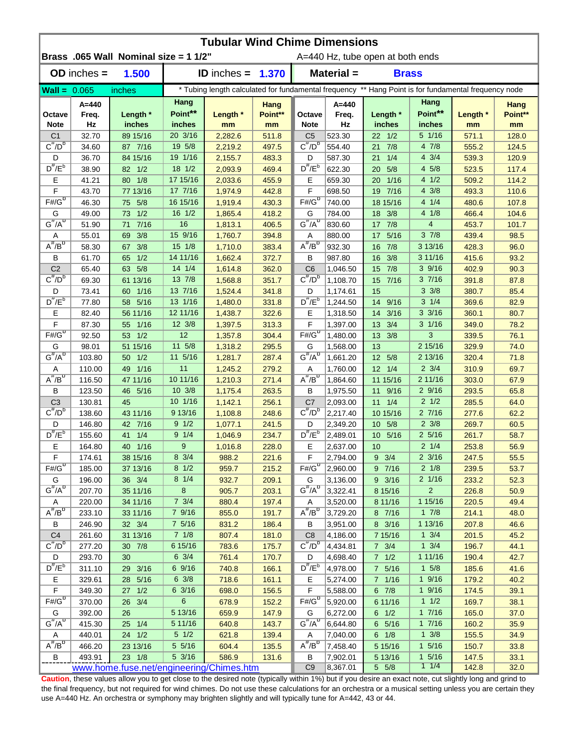|                                     | <b>Tubular Wind Chime Dimensions</b> |                                          |                     |                            |                |                                                                                                      |                      |                                  |                                     |                |                |  |  |
|-------------------------------------|--------------------------------------|------------------------------------------|---------------------|----------------------------|----------------|------------------------------------------------------------------------------------------------------|----------------------|----------------------------------|-------------------------------------|----------------|----------------|--|--|
|                                     |                                      | Brass .065 Wall Nominal size = 1 1/2"    |                     |                            |                |                                                                                                      |                      | A=440 Hz, tube open at both ends |                                     |                |                |  |  |
|                                     | $OD$ inches $=$                      | 1.500                                    |                     | <b>ID</b> inches = $1.370$ |                |                                                                                                      | Material =           | <b>Brass</b>                     |                                     |                |                |  |  |
| $\text{Wall} = 0.065$               |                                      | inches                                   |                     |                            |                | * Tubing length calculated for fundamental frequency ** Hang Point is for fundamental frequency node |                      |                                  |                                     |                |                |  |  |
|                                     | A=440                                |                                          | Hang                |                            | Hang           |                                                                                                      | $A = 440$            |                                  | Hang                                |                | Hang           |  |  |
| Octave                              | Freq.                                | Length *                                 | Point**             | Length *                   | Point**        | Octave                                                                                               | Freq.                | Length *                         | Point**                             | Length *       | Point**        |  |  |
| <b>Note</b>                         | Hz                                   | inches                                   | inches              | mm                         | mm             | <b>Note</b>                                                                                          | Hz                   | inches                           | inches                              | mm             | mm             |  |  |
| C <sub>1</sub><br>$C^{\#}/D^b$      | 32.70                                | 89 15/16                                 | 20 3/16             | 2,282.6                    | 511.8          | C <sub>5</sub><br>$C^{\#}/D^D$                                                                       | 523.30               | $22 \t1/2$                       | $5 \t1/16$                          | 571.1          | 128.0          |  |  |
|                                     | 34.60                                | 87 7/16                                  | 19 5/8<br>19 1/16   | 2,219.2                    | 497.5          |                                                                                                      | 554.40               | 7/8<br>21<br>1/4                 | 4 7/8<br>$4 \frac{3}{4}$            | 555.2          | 124.5          |  |  |
| D<br>$D^{\#}/E^b$                   | 36.70<br>38.90                       | 84 15/16<br>82 1/2                       | 18 1/2              | 2,155.7<br>2,093.9         | 483.3<br>469.4 | D<br>$D^{\prime\prime}/E^b$                                                                          | 587.30<br>622.30     | 21<br>5/8<br>20                  | 4 5/8                               | 539.3<br>523.5 | 120.9<br>117.4 |  |  |
| Ε                                   | 41.21                                | 80 1/8                                   | 17 15/16            | 2,033.6                    | 455.9          | Е                                                                                                    | 659.30               | 1/16<br>20                       | 41/2                                | 509.2          | 114.2          |  |  |
| F                                   | 43.70                                | 77 13/16                                 | 17 7/16             | 1,974.9                    | 442.8          | F                                                                                                    | 698.50               | 7/16<br>19                       | $4 \frac{3}{8}$                     | 493.3          | 110.6          |  |  |
| $F# / G^D$                          | 46.30                                | 5/8<br>75                                | 16 15/16            | 1,919.4                    | 430.3          | $F#/\overline{G}^D$                                                                                  | 740.00               | 18 15/16                         | 4 1/4                               | 480.6          | 107.8          |  |  |
| G                                   | 49.00                                | 1/2<br>73                                | 16 1/2              | 1,865.4                    | 418.2          | G                                                                                                    | 784.00               | 3/8<br>18                        | 4 1/8                               | 466.4          | 104.6          |  |  |
| $G^{\#}/A^D$                        | 51.90                                | $7/16$<br>71                             | 16                  | 1,813.1                    | 406.5          | $G^H/A^D$                                                                                            | 830.60               | 7/8<br>17                        | $\overline{4}$                      | 453.7          | 101.7          |  |  |
| Α                                   | 55.01                                | 3/8<br>69                                | 15 9/16             | 1,760.7                    | 394.8          | Α                                                                                                    | 880.00               | 5/16<br>17                       | $3 \frac{7}{8}$                     | 439.4          | 98.5           |  |  |
| $A^{\#}/B^D$                        | 58.30                                | 3/8<br>67                                | 15 1/8              | 1,710.0                    | 383.4          | $A^H/B^D$                                                                                            | 932.30               | 7/8<br>16                        | 3 13/16                             | 428.3          | 96.0           |  |  |
| В                                   | 61.70                                | 1/2<br>65                                | 14 11/16            | 1,662.4                    | 372.7          | В                                                                                                    | 987.80               | 3/8<br>16                        | 3 11/16                             | 415.6          | 93.2           |  |  |
| C <sub>2</sub>                      | 65.40                                | 5/8<br>63                                | 14 1/4              | 1,614.8                    | 362.0          | C <sub>6</sub>                                                                                       | 1,046.50             | 7/8<br>15                        | 39/16                               | 402.9          | 90.3           |  |  |
| $C^{\#}/D^D$                        | 69.30                                | 61 13/16                                 | 13 7/8              | 1,568.8                    | 351.7          | $C^{\prime\prime}/D^D$                                                                               | 1,108.70             | 7/16<br>15                       | 37/16                               | 391.8          | 87.8           |  |  |
| D                                   | 73.41                                | 1/16<br>60                               | 13 7/16             | 1,524.4                    | 341.8          | D                                                                                                    | 1,174.61             | 15                               | $3 \frac{3}{8}$                     | 380.7          | 85.4           |  |  |
| $D^{\frac{\pi}{r}}/E^b$             | 77.80                                | 5/16<br>58                               | 13 1/16             | 1,480.0                    | 331.8          | $D^{\pi}/E^b$                                                                                        | 1,244.50             | 9/16<br>14                       | $3 \t1/4$                           | 369.6          | 82.9           |  |  |
| Е                                   | 82.40                                | 56 11/16                                 | 12 11/16            | 1,438.7                    | 322.6          | Е                                                                                                    | 1,318.50             | 3/16<br>14                       | $3 \frac{3}{16}$                    | 360.1          | 80.7           |  |  |
| F                                   | 87.30                                | $1/16$<br>55                             | 12 3/8              | 1,397.5                    | 313.3          | F                                                                                                    | 1,397.00             | 3/4<br>13                        | $3 \frac{1}{16}$                    | 349.0          | 78.2           |  |  |
| $F# / G^D$                          | 92.50                                | 1/2<br>53                                | 12                  | 1,357.8                    | 304.4          | $F#/\overline{G}^D$                                                                                  | 1,480.00             | 13<br>3/8                        | 3                                   | 339.5          | 76.1           |  |  |
| G                                   | 98.01                                | 51 15/16                                 | 11 5/8              | 1,318.2                    | 295.5          | G                                                                                                    | 1,568.00             | 13                               | 2 15/16                             | 329.9          | 74.0           |  |  |
| $G^{\#}/A^D$                        | 103.80                               | 1/2<br>50                                | 11 5/16             | 1,281.7                    | 287.4          | $G^{\#}/A^D$                                                                                         | 1,661.20             | 12 5/8                           | 2 13/16                             | 320.4          | 71.8           |  |  |
| Α<br>$A^{\#}/B^{\sigma}$            | 110.00                               | 49 1/16                                  | 11                  | 1,245.2                    | 279.2          | Α                                                                                                    | 1,760.00             | $12 \t1/4$                       | $2 \frac{3}{4}$                     | 310.9          | 69.7           |  |  |
|                                     | 116.50                               | 47 11/16                                 | 10 11/16            | 1,210.3                    | 271.4          | $A^H/B^D$                                                                                            | 1,864.60             | 11 15/16                         | 2 11/16                             | 303.0          | 67.9           |  |  |
| B                                   | 123.50                               | 46 5/16                                  | 10 3/8<br>10 1/16   | 1,175.4                    | 263.5          | B                                                                                                    | 1,975.50             | 11 9/16                          | 29/16<br>$2 \frac{1}{2}$            | 293.5          | 65.8           |  |  |
| C <sub>3</sub><br>$C^{\#}/D^b$      | 130.81<br>138.60                     | 45<br>43 11/16                           | 9 13/16             | 1,142.1<br>1,108.8         | 256.1<br>248.6 | C <sub>7</sub><br>$C^{\#}/D^D$                                                                       | 2,093.00<br>2,217.40 | $11 \t1/4$<br>10 15/16           | 27/16                               | 285.5<br>277.6 | 64.0<br>62.2   |  |  |
| D                                   | 146.80                               | 42 7/16                                  | $9 \frac{1}{2}$     | 1,077.1                    | 241.5          | D                                                                                                    | 2,349.20             | 10 5/8                           | $2 \frac{3}{8}$                     | 269.7          | 60.5           |  |  |
| $D^{\#}/E^b$                        | 155.60                               | 1/4<br>41                                | 9 1/4               | 1,046.9                    | 234.7          | $D^{\#}/E^b$                                                                                         | 2,489.01             | 10 5/16                          | $2\,5/16$                           | 261.7          | 58.7           |  |  |
| Е                                   | 164.80                               | 40 1/16                                  | 9                   | 1,016.8                    | 228.0          | Е                                                                                                    | 2,637.00             | 10                               | $2 \frac{1}{4}$                     | 253.8          | 56.9           |  |  |
| F                                   | 174.61                               | 38 15/16                                 | $8 \frac{3}{4}$     | 988.2                      | <u>221.6</u>   | F                                                                                                    | 2,794.00             | $9 \t3/4$                        | $2 \frac{3}{16}$                    | 247.5          | 55.5           |  |  |
| $F# / G^D$                          | 185.00                               | 37 13/16                                 | $8 \frac{1}{2}$     | 959.7                      | 215.2          | $F#/\overline{G}^D$                                                                                  | 2,960.00             | 9 7/16                           | $2 \frac{1}{8}$                     | 239.5          | 53.7           |  |  |
| G                                   | 196.00                               | 36 3/4                                   | $8 \t1/4$           | 932.7                      | 209.1          | G                                                                                                    | 3,136.00             | 9 3/16                           | 2 1/16                              | 233.2          | 52.3           |  |  |
| $G^{\#}/A^D$                        | 207.70                               | 35 11/16                                 | 8                   | 905.7                      | 203.1          | $G^H/A^D$                                                                                            | 3,322.41             | 8 15/16                          | $\overline{2}$                      | 226.8          | 50.9           |  |  |
| Α                                   | 220.00                               | 34 11/16                                 | $7 \frac{3}{4}$     | 880.4                      | 197.4          | Α                                                                                                    | 3,520.00             | 8 11/16                          | 1 15/16                             | 220.5          | 49.4           |  |  |
| $A^{\#}/B^D$                        | 233.10                               | 33 11/16                                 | 7 9/16              | 855.0                      | 191.7          | $A^H/B^D$                                                                                            | 3,729.20             | 8 7/16                           | $1 \t7/8$                           | 214.1          | 48.0           |  |  |
| В                                   | 246.90                               | 32    3/4                                | 7 5/16              | 831.2                      | 186.4          | В                                                                                                    | 3,951.00             | 8 3/16                           | 1 13/16                             | 207.8          | 46.6           |  |  |
| C <sub>4</sub>                      | 261.60                               | 31 13/16                                 | $7 \t1/8$           | 807.4                      | 181.0          | C <sub>8</sub>                                                                                       | 4,186.00             | 7 15/16                          | $1 \frac{3}{4}$                     | 201.5          | 45.2           |  |  |
| $C^{\frac{\pi}{}}/D^b$              | 277.20                               | 30 7/8                                   | 6 15/16             | 783.6                      | 175.7          | $C^{\pi}/D^b$                                                                                        | 4,434.81             | $7 \frac{3}{4}$                  | $1 \frac{3}{4}$                     | 196.7          | 44.1           |  |  |
| D                                   | 293.70                               | 30                                       | $6 \frac{3}{4}$     | 761.4                      | 170.7          | D                                                                                                    | 4,698.40             | $7 \t1/2$                        | 1 11/16                             | 190.4          | 42.7           |  |  |
| $D^{\#}/E^b$                        | 311.10                               | 29 3/16                                  | 6 9/16              | 740.8                      | 166.1          | $D^{\pi}/E^b$                                                                                        | 4,978.00             | 7 5/16                           | $1 \t5/8$                           | 185.6          | 41.6           |  |  |
| Е                                   | 329.61                               | 28 5/16                                  | $6 \frac{3}{8}$     | 718.6                      | 161.1          | Е                                                                                                    | 5,274.00             | 7 1/16                           | 19/16                               | 179.2          | 40.2           |  |  |
| F                                   | 349.30                               | 27 1/2                                   | 6 3/16              | 698.0                      | 156.5          | F                                                                                                    | 5,588.00             | $6$ $7/8$                        | 19/16                               | 174.5          | 39.1           |  |  |
| $F#/\overline{G}^D$                 | 370.00                               | 26 3/4                                   | 6                   | 678.9                      | 152.2          | $F# / G^D$                                                                                           | 5,920.00             | 6 11/16                          | 11/2                                | 169.7          | 38.1           |  |  |
| G<br>$G^{\#}/A^D$                   | 392.00                               | 26                                       | 5 13/16             | 659.9                      | 147.9          | G                                                                                                    | 6,272.00             | $6 \t1/2$                        | 17/16                               | 165.0          | 37.0           |  |  |
|                                     | 415.30                               | 25 1/4                                   | 5 11/16             | 640.8                      | 143.7          | $G^{\#}/A^D$                                                                                         | 6,644.80             | 6 5/16                           | 17/16                               | 160.2          | 35.9           |  |  |
| Α<br>$\overline{A^{\#}/B^{\sigma}}$ | 440.01                               | 24 1/2                                   | $5 \t1/2$<br>5 5/16 | 621.8                      | 139.4          | A<br>$A^H/B^D$                                                                                       | 7,040.00             | $6 \t1/8$                        | $1 \frac{3}{8}$<br>$1 \frac{5}{16}$ | 155.5          | 34.9           |  |  |
| В                                   | 466.20<br>493.91                     | 23 13/16<br>23 1/8                       | 5 3/16              | 604.4<br>586.9             | 135.5<br>131.6 | В                                                                                                    | 7,458.40<br>7,902.01 | 5 15/16<br>5 13/16               | $1 \frac{5}{16}$                    | 150.7<br>147.5 | 33.8<br>33.1   |  |  |
|                                     |                                      | www.home.fuse.net/engineering/Chimes.htm |                     |                            |                | C <sub>9</sub>                                                                                       | 8,367.01             | $5\quad5/8$                      | 11/4                                | 142.8          | 32.0           |  |  |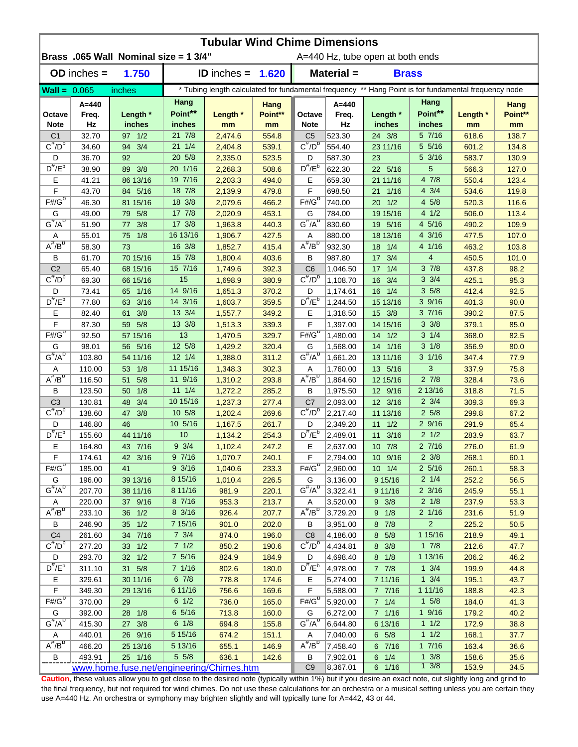| <b>Tubular Wind Chime Dimensions</b> |                  |                                          |                             |                                                                                                      |                |                                     |                      |                                  |                                    |                |                |  |
|--------------------------------------|------------------|------------------------------------------|-----------------------------|------------------------------------------------------------------------------------------------------|----------------|-------------------------------------|----------------------|----------------------------------|------------------------------------|----------------|----------------|--|
|                                      |                  | Brass .065 Wall Nominal size = 1 3/4"    |                             |                                                                                                      |                |                                     |                      | A=440 Hz, tube open at both ends |                                    |                |                |  |
|                                      | $OD$ inches $=$  | 1.750                                    |                             | $ID$ inches $=$                                                                                      | 1.620          |                                     | Material =           | <b>Brass</b>                     |                                    |                |                |  |
| $\text{Wall} = 0.065$                |                  | inches                                   |                             | * Tubing length calculated for fundamental frequency ** Hang Point is for fundamental frequency node |                |                                     |                      |                                  |                                    |                |                |  |
|                                      | A=440            |                                          | Hang                        |                                                                                                      | Hang           |                                     | $A = 440$            |                                  | Hang                               |                | Hang           |  |
| Octave                               | Freq.            | Length *                                 | Point**                     | Length *                                                                                             | Point**        | Octave                              | Freq.                | Length *                         | Point**                            | Length *       | Point**        |  |
| <b>Note</b>                          | Hz               | inches                                   | inches                      | mm                                                                                                   | mm             | <b>Note</b>                         | Hz                   | inches                           | inches                             | mm             | mm             |  |
| C <sub>1</sub>                       | 32.70            | 97 1/2                                   | $21 \t7/8$                  | 2,474.6                                                                                              | 554.8          | C <sub>5</sub><br>$C^{\pi}/D^b$     | 523.30               | 24 3/8                           | 5 7/16                             | 618.6          | 138.7          |  |
| $C^{\#}/D^b$                         | 34.60            | 3/4<br>94                                | $21 \t1/4$                  | 2,404.8                                                                                              | 539.1          |                                     | 554.40               | 23 11/16                         | 5 5/16                             | 601.2          | 134.8          |  |
| D<br>$D^{\#}/E^b$                    | 36.70            | 92                                       | 20 5/8                      | 2,335.0                                                                                              | 523.5          | D<br>$D^{\#}/E^b$                   | 587.30               | 23                               | $5 \frac{3}{16}$<br>5              | 583.7          | 130.9          |  |
|                                      | 38.90<br>41.21   | 89 3/8                                   | 20 1/16<br>19 7/16          | 2,268.3                                                                                              | 508.6<br>494.0 | Е                                   | 622.30               | 22 5/16                          | 4 7/8                              | 566.3          | 127.0          |  |
| Е<br>F                               | 43.70            | 86 13/16<br>84 5/16                      | 18 7/8                      | 2,203.3<br>2,139.9                                                                                   | 479.8          | F                                   | 659.30<br>698.50     | 21 11/16<br>1/16<br>21           | $4 \frac{3}{4}$                    | 550.4<br>534.6 | 123.4<br>119.8 |  |
| $F# / G^D$                           | 46.30            | 81 15/16                                 | 18 3/8                      | 2,079.6                                                                                              | 466.2          | $F#/\overline{G}^D$                 | 740.00               | 1/2<br>20                        | 4 5/8                              | 520.3          | 116.6          |  |
| G                                    | 49.00            | 5/8<br>79                                | 17 7/8                      | 2,020.9                                                                                              | 453.1          | G                                   | 784.00               | 19 15/16                         | 4 1/2                              | 506.0          | 113.4          |  |
| $G^{\#}/A^D$                         | 51.90            | 3/8<br>77                                | 17 3/8                      | 1,963.8                                                                                              | 440.3          | $G^{\overline{n}}/A^{\overline{D}}$ | 830.60               | 19 5/16                          | 4 5/16                             | 490.2          | 109.9          |  |
| Α                                    | 55.01            | 1/8<br>75                                | 16 13/16                    | 1,906.7                                                                                              | 427.5          | Α                                   | 880.00               | 18 13/16                         | 43/16                              | 477.5          | 107.0          |  |
| $A^{\#}/B^D$                         | 58.30            | 73                                       | 16 3/8                      | 1,852.7                                                                                              | 415.4          | $A^H/B^D$                           | 932.30               | 18<br>1/4                        | 4 1/16                             | 463.2          | 103.8          |  |
| В                                    | 61.70            | 70 15/16                                 | 15 7/8                      | 1,800.4                                                                                              | 403.6          | В                                   | 987.80               | 3/4<br>17                        | $\overline{4}$                     | 450.5          | 101.0          |  |
| C <sub>2</sub>                       | 65.40            | 68 15/16                                 | 15 7/16                     | 1,749.6                                                                                              | 392.3          | C <sub>6</sub>                      | 1,046.50             | $17 \t1/4$                       | 37/8                               | 437.8          | 98.2           |  |
| $C^{\prime\prime}/D^D$               | 69.30            | 66 15/16                                 | 15                          | 1,698.9                                                                                              | 380.9          | $C^{\prime\prime}/D^D$              | 1,108.70             | 16<br>3/4                        | $3 \frac{3}{4}$                    | 425.1          | 95.3           |  |
| D                                    | 73.41            | 65 1/16                                  | 14 9/16                     | 1,651.3                                                                                              | 370.2          | D                                   | 1,174.61             | $16 \t1/4$                       | 35/8                               | 412.4          | 92.5           |  |
| $D^{\frac{\pi}{}}/E^b$               | 77.80            | 3/16<br>63                               | 14 3/16                     | 1,603.7                                                                                              | 359.5          | $D^{\pi}/E^b$                       | 1,244.50             | 15 13/16                         | 3 9/16                             | 401.3          | 90.0           |  |
| Е                                    | 82.40            | 3/8<br>61                                | 13 3/4                      | 1,557.7                                                                                              | 349.2          | Е                                   | 1,318.50             | 15 3/8                           | 37/16                              | 390.2          | 87.5           |  |
| F                                    | 87.30            | 5/8<br>59                                | 13 3/8                      | 1,513.3                                                                                              | 339.3          | F                                   | 1,397.00             | 14 15/16                         | $3 \frac{3}{8}$                    | 379.1          | 85.0           |  |
| $F\overline{\#}/\overline{G}^D$      | 92.50            | 57 15/16                                 | 13                          | 1,470.5                                                                                              | 329.7          | $F#/\overline{G}^D$                 | 1,480.00             | $14 \frac{1}{2}$                 | $3 \t1/4$                          | 368.0          | 82.5           |  |
| G                                    | 98.01            | 56 5/16                                  | 12 5/8                      | 1,429.2                                                                                              | 320.4          | G                                   | 1,568.00             | 14 1/16                          | $3 \frac{1}{8}$                    | 356.9          | 80.0           |  |
| $G^{\#}/A^D$                         | 103.80           | 54 11/16                                 | $12 \frac{1}{4}$            | 1,388.0                                                                                              | 311.2          | $G^{\#}/A^D$                        | 1,661.20             | 13 11/16                         | $3 \frac{1}{16}$                   | 347.4          | 77.9           |  |
| Α                                    | 110.00           | 1/8<br>53                                | 11 15/16                    | 1,348.3                                                                                              | 302.3          | Α                                   | 1,760.00             | 13 5/16                          | 3                                  | 337.9          | 75.8           |  |
| $A^{\#}/B^D$                         | 116.50           | 5/8<br>51                                | 11 9/16                     | 1,310.2                                                                                              | 293.8          | $A^H/B^D$                           | 1,864.60             | 12 15/16                         | $2 \frac{7}{8}$                    | 328.4          | 73.6           |  |
| В                                    | 123.50           | 1/8<br>50                                | $11 \t1/4$                  | 1,272.2                                                                                              | 285.2          | В                                   | 1,975.50             | 12 9/16                          | 2 13/16                            | 318.8          | 71.5           |  |
| C <sub>3</sub>                       | 130.81           | 3/4<br>48                                | 10 15/16                    | 1,237.3                                                                                              | 277.4          | C7                                  | 2,093.00             | 12 3/16                          | $2 \frac{3}{4}$                    | 309.3          | 69.3           |  |
| $C^{\#}/D^b$                         | 138.60           | 3/8<br>47                                | $10 \frac{5}{8}$            | 1,202.4                                                                                              | 269.6          | $C^{\prime\prime}/D^{\prime\prime}$ | 2,217.40             | 11 13/16                         | $2\,5/8$                           | 299.8          | 67.2           |  |
| D                                    | 146.80           | 46                                       | 10 5/16                     | 1,167.5                                                                                              | 261.7          | D                                   | 2,349.20             | $11 \t1/2$                       | 29/16                              | 291.9          | 65.4           |  |
| $D^{\#}/E^b$                         | 155.60           | 44 11/16                                 | 10                          | 1,134.2                                                                                              | 254.3          | $D^{\#}/E^b$                        | 2,489.01             | 3/16<br>11                       | $2 \frac{1}{2}$                    | 283.9          | 63.7           |  |
| Е                                    | 164.80           | 43 7/16                                  | $9 \frac{3}{4}$             | 1,102.4                                                                                              | 247.2          | Е                                   | 2,637.00             | $10$ $7/8$                       | 27/16                              | 276.0          | 61.9           |  |
| $\mathsf F$<br>$F# / G^D$            | 174.61           | 42 3/16                                  | 97/16                       | 1,070.7                                                                                              | 240.1          | F<br>$F#/\overline{G}^D$            | 2,794.00             | 10 9/16                          | $2 \frac{3}{8}$                    | 268.1          | 60.1           |  |
| G                                    | 185.00<br>196.00 | 41<br>39 13/16                           | $9 \frac{3}{16}$<br>8 15/16 | 1,040.6<br>1,010.4                                                                                   | 233.3<br>226.5 | G                                   | 2,960.00<br>3,136.00 | $10 \t1/4$<br>9 15/16            | $2\frac{5}{16}$<br>$2 \frac{1}{4}$ | 260.1<br>252.2 | 58.3<br>56.5   |  |
| $G^{\#}/A^D$                         | 207.70           | 38 11/16                                 | 8 11/16                     | 981.9                                                                                                | 220.1          | $G^H/A^D$                           | 3,322.41             | 9 11/16                          | $2 \frac{3}{16}$                   | 245.9          | 55.1           |  |
| A                                    | 220.00           | 37 9/16                                  | 8 7/16                      | 953.3                                                                                                | 213.7          | A                                   | 3,520.00             | $9 \t3/8$                        | $2 \frac{1}{8}$                    | 237.9          | 53.3           |  |
| $A^{\#}/B^D$                         | 233.10           | 36 1/2                                   | 8 3/16                      | 926.4                                                                                                | 207.7          | $A^{\#}/B^D$                        | 3,729.20             | 9 1/8                            | 2 1/16                             | 231.6          | 51.9           |  |
| В                                    | 246.90           | 35 1/2                                   | 7 15/16                     | 901.0                                                                                                | 202.0          | В                                   | 3,951.00             | 8 7/8                            | $\overline{2}$                     | 225.2          | 50.5           |  |
| C <sub>4</sub>                       | 261.60           | 34 7/16                                  | $7 \frac{3}{4}$             | 874.0                                                                                                | 196.0          | C <sub>8</sub>                      | 4,186.00             | 8 5/8                            | 1 15/16                            | 218.9          | 49.1           |  |
| $C^{\#}/D^b$                         | 277.20           | 33 1/2                                   | 71/2                        | 850.2                                                                                                | 190.6          | $C^{\overline{n}}/D^b$              | 4,434.81             | 8 3/8                            | $1 \t7/8$                          | 212.6          | 47.7           |  |
| D                                    | 293.70           | 32 1/2                                   | 7 5/16                      | 824.9                                                                                                | 184.9          | D                                   | 4,698.40             | $8 \t1/8$                        | 1 13/16                            | 206.2          | 46.2           |  |
| $D^{\#}/E^b$                         | 311.10           | 31 5/8                                   | 7 1/16                      | 802.6                                                                                                | 180.0          | $D^{\#}/E^b$                        | 4,978.00             | $7 \t7/8$                        | $1 \frac{3}{4}$                    | 199.9          | 44.8           |  |
| Е                                    | 329.61           | 30 11/16                                 | 67/8                        | 778.8                                                                                                | 174.6          | E.                                  | 5,274.00             | 7 11/16                          | $1 \frac{3}{4}$                    | 195.1          | 43.7           |  |
| F                                    | 349.30           | 29 13/16                                 | 6 11/16                     | 756.6                                                                                                | 169.6          | F                                   | 5,588.00             | 7 7/16                           | 1 11/16                            | 188.8          | 42.3           |  |
| $F# / G^D$                           | 370.00           | 29                                       | $6 \frac{1}{2}$             | 736.0                                                                                                | 165.0          | $F# / G^D$                          | 5,920.00             | 7 1/4                            | $1 \t5/8$                          | 184.0          | 41.3           |  |
| G                                    | 392.00           | 28 1/8                                   | 6 5/16                      | 713.8                                                                                                | 160.0          | G                                   | 6,272.00             | 7 1/16                           | 19/16                              | 179.2          | 40.2           |  |
| $G^{\#}/A^D$                         | 415.30           | 27 3/8                                   | $6 \t1/8$                   | 694.8                                                                                                | 155.8          | $G^H/A^U$                           | 6,644.80             | 6 13/16                          | 11/2                               | 172.9          | 38.8           |  |
| Α                                    | 440.01           | 26 9/16                                  | 5 15/16                     | 674.2                                                                                                | 151.1          | A                                   | 7,040.00             | $6\quad 5/8$                     | 11/2                               | 168.1          | 37.7           |  |
| $A^H/B^D$                            | 466.20           | 25 13/16                                 | 5 13/16                     | 655.1                                                                                                | 146.9          | $A^H/B^D$                           | 7,458.40             | 6 7/16                           | 17/16                              | 163.4          | 36.6           |  |
| B                                    | 493.91           | 25 1/16                                  | $5 \frac{5}{8}$             | 636.1                                                                                                | 142.6          | В                                   | 7,902.01             | $6 \t1/4$                        | $1 \frac{3}{8}$                    | 158.6          | 35.6           |  |
|                                      |                  | www.home.fuse.net/engineering/Chimes.htm |                             |                                                                                                      |                | C <sub>9</sub>                      | 8,367.01             | 6 1/16                           | $1 \frac{3}{8}$                    | 153.9          | 34.5           |  |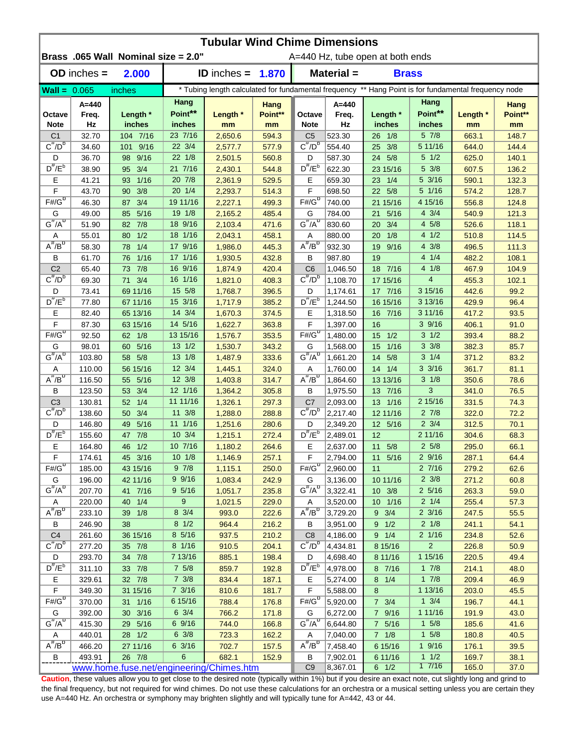| <b>Tubular Wind Chime Dimensions</b> |                  |                                          |                  |                    |                |                                     |                                                                                                      |                                  |                                     |                |                |  |
|--------------------------------------|------------------|------------------------------------------|------------------|--------------------|----------------|-------------------------------------|------------------------------------------------------------------------------------------------------|----------------------------------|-------------------------------------|----------------|----------------|--|
|                                      |                  | Brass .065 Wall Nominal size = 2.0"      |                  |                    |                |                                     |                                                                                                      | A=440 Hz, tube open at both ends |                                     |                |                |  |
|                                      | $OD$ inches $=$  | 2.000                                    |                  | ID inches $=$      | 1.870          |                                     | Material =                                                                                           | <b>Brass</b>                     |                                     |                |                |  |
| $\text{Wall} = 0.065$                |                  | inches                                   |                  |                    |                |                                     | * Tubing length calculated for fundamental frequency ** Hang Point is for fundamental frequency node |                                  |                                     |                |                |  |
|                                      | A=440            |                                          | Hang             |                    | Hang           |                                     | $A = 440$                                                                                            |                                  | Hang                                |                | Hang           |  |
| Octave                               | Freq.            | Length *                                 | Point**          | Length *           | Point**        | Octave                              | Freq.                                                                                                | Length *                         | Point**                             | Length *       | Point**        |  |
| <b>Note</b>                          | Hz               | inches                                   | inches           | mm                 | mm             | <b>Note</b>                         | Hz                                                                                                   | inches                           | inches                              | mm             | mm             |  |
| C <sub>1</sub>                       | 32.70            | 104 7/16                                 | 23 7/16          | 2,650.6            | 594.3          | C <sub>5</sub>                      | 523.30                                                                                               | $26 \t1/8$                       | 5 7/8                               | 663.1          | 148.7          |  |
| $C^{\#}/D^b$                         | 34.60            | 101 9/16                                 | 22 3/4           | 2,577.7            | 577.9          | $C^{\pi}/D^b$                       | 554.40                                                                                               | 25 3/8                           | 5 11/16                             | 644.0          | 144.4          |  |
| D                                    | 36.70            | 9/16<br>98                               | 22 1/8           | 2,501.5            | 560.8          | D                                   | 587.30                                                                                               | 24 5/8                           | $5 \frac{1}{2}$                     | 625.0          | 140.1          |  |
| $D^{\#}/E^b$                         | 38.90            | 3/4<br>95 <sup>°</sup>                   | 21 7/16          | 2,430.1            | 544.8          | $D^{\#}/E^b$                        | 622.30                                                                                               | 23 15/16                         | 5 3/8                               | 607.5          | 136.2          |  |
| Е<br>F                               | 41.21            | $1/16$<br>93                             | 20 7/8<br>20 1/4 | 2,361.9            | 529.5          | Е<br>F                              | 659.30                                                                                               | 23 1/4                           | 5 3/16<br>5 1/16                    | 590.1          | 132.3          |  |
| $F# / G^D$                           | 43.70<br>46.30   | 3/8<br>90<br>3/4<br>87                   | 19 11/16         | 2,293.7<br>2,227.1 | 514.3<br>499.3 | $F#/\overline{G}^D$                 | 698.50<br>740.00                                                                                     | 22 5/8<br>21 15/16               | 4 15/16                             | 574.2<br>556.8 | 128.7<br>124.8 |  |
| G                                    | 49.00            | 5/16<br>85                               | 19 1/8           | 2,165.2            | 485.4          | G                                   | 784.00                                                                                               | 5/16<br>21                       | $4 \frac{3}{4}$                     | 540.9          | 121.3          |  |
| $G^{\#}/A^D$                         | 51.90            | 7/8<br>82                                | 18 9/16          | 2,103.4            | 471.6          | $G^{\overline{n}}/A^{\overline{D}}$ | 830.60                                                                                               | 3/4<br>20                        | 4 5/8                               | 526.6          | 118.1          |  |
| Α                                    | 55.01            | 1/2<br>80                                | 18 1/16          | 2,043.1            | 458.1          | Α                                   | 880.00                                                                                               | 1/8<br>20                        | 41/2                                | 510.8          | 114.5          |  |
| $A^{\#}/B^D$                         | 58.30            | 1/4<br>78                                | 17 9/16          | 1,986.0            | 445.3          | $A^H/B^D$                           | 932.30                                                                                               | 9/16<br>19                       | $4 \frac{3}{8}$                     | 496.5          | 111.3          |  |
| В                                    | 61.70            | $1/16$<br>76                             | 17 1/16          | 1,930.5            | 432.8          | В                                   | 987.80                                                                                               | 19                               | 41/4                                | 482.2          | 108.1          |  |
| C <sub>2</sub>                       | 65.40            | 7/8<br>73                                | 16 9/16          | 1,874.9            | 420.4          | C <sub>6</sub>                      | 1,046.50                                                                                             | 18 7/16                          | 4 1/8                               | 467.9          | 104.9          |  |
| $C^{\prime\prime}/D^D$               | 69.30            | 3/4<br>71                                | 16 1/16          | 1,821.0            | 408.3          | $C^{\prime\prime}/D^D$              | 1,108.70                                                                                             | 17 15/16                         | $\overline{4}$                      | 455.3          | 102.1          |  |
| D                                    | 73.41            | 69 11/16                                 | 15 5/8           | 1,768.7            | 396.5          | D                                   | 1,174.61                                                                                             | 17 7/16                          | 3 15/16                             | 442.6          | 99.2           |  |
| $D^{\pi}/E^b$                        | 77.80            | 67 11/16                                 | 15 3/16          | 1,717.9            | 385.2          | $D^{\pi}/E^b$                       | 1,244.50                                                                                             | 16 15/16                         | 3 13/16                             | 429.9          | 96.4           |  |
| Е                                    | 82.40            | 65 13/16                                 | 14 3/4           | 1,670.3            | 374.5          | Е                                   | 1,318.50                                                                                             | 16 7/16                          | 311/16                              | 417.2          | 93.5           |  |
| F                                    | 87.30            | 63 15/16                                 | 14 5/16          | 1,622.7            | 363.8          | F                                   | 1,397.00                                                                                             | 16                               | 39/16                               | 406.1          | 91.0           |  |
| $F\overline{\#/G^D}$                 | 92.50            | 62 1/8                                   | 13 15/16         | 1,576.7            | 353.5          | $F#/\overline{G}^D$                 | 1,480.00                                                                                             | 1/2<br>15                        | $3 \frac{1}{2}$                     | 393.4          | 88.2           |  |
| G                                    | 98.01            | 5/16<br>60                               | $13 \frac{1}{2}$ | 1,530.7            | 343.2          | G                                   | 1,568.00                                                                                             | 1/16<br>15                       | $3 \frac{3}{8}$                     | 382.3          | 85.7           |  |
| $G^{\#}/A^D$                         | 103.80           | 5/8<br>58                                | 13 1/8           | 1,487.9            | 333.6          | $G^{\#}/A^D$                        | 1,661.20                                                                                             | 14 5/8                           | $3 \t1/4$                           | 371.2          | 83.2           |  |
| Α                                    | 110.00           | 56 15/16                                 | 12 3/4           | 1,445.1            | 324.0          | Α                                   | 1,760.00                                                                                             | $14 \quad 1/4$                   | $3 \frac{3}{16}$                    | 361.7          | 81.1           |  |
| $A^{\#}/B^D$                         | 116.50           | 5/16<br>55                               | 12 3/8           | 1,403.8            | 314.7          | $A^H/B^D$                           | 1,864.60                                                                                             | 13 13/16                         | $3 \frac{1}{8}$                     | 350.6          | 78.6           |  |
| В                                    | 123.50           | 53 3/4                                   | 12 1/16          | 1,364.2            | 305.8          | В                                   | 1,975.50                                                                                             | 13 7/16                          | 3                                   | 341.0          | 76.5           |  |
| C <sub>3</sub>                       | 130.81           | 52 1/4                                   | 11 11/16         | 1,326.1            | 297.3          | C7                                  | 2,093.00                                                                                             | 13 1/16                          | 2 15/16                             | 331.5          | 74.3           |  |
| $C^{\#}/D^b$                         | 138.60           | 50 3/4                                   | 11 3/8           | 1,288.0            | 288.8          | $C^{\prime\prime}/D^{\prime\prime}$ | 2,217.40                                                                                             | 12 11/16                         | $2 \frac{7}{8}$                     | 322.0          | 72.2           |  |
| D                                    | 146.80           | 49 5/16                                  | 11 1/16          | 1,251.6            | 280.6          | D                                   | 2,349.20                                                                                             | 12 5/16                          | $2 \frac{3}{4}$                     | 312.5          | 70.1           |  |
| $D^{\#}/E^b$                         | 155.60           | 47 7/8                                   | $10 \frac{3}{4}$ | 1,215.1            | 272.4          | $D^{\prime\prime}/E^b$              | 2,489.01                                                                                             | 12                               | 2 11/16                             | 304.6          | 68.3           |  |
| Е                                    | 164.80           | 46 1/2                                   | 10 7/16          | 1,180.2            | 264.6          | Е                                   | 2,637.00                                                                                             | 11 5/8                           | $2\,5/8$                            | 295.0          | 66.1           |  |
| $\mathsf F$                          | 174.61           | 45 3/16                                  | $10 \t1/8$       | 1,146.9            | 257.1          | F                                   | 2,794.00                                                                                             | 11 5/16                          | 29/16                               | 287.1          | 64.4           |  |
| $F# / G^D$                           | 185.00           | 43 15/16                                 | 97/8             | 1,115.1            | 250.0          | $F#/\overline{G}^D$                 | 2,960.00                                                                                             | 11                               | 27/16                               | 279.2          | 62.6           |  |
| G<br>$G^{\#}/A^D$                    | 196.00           | 42 11/16                                 | 99/16            | 1,083.4            | 242.9          | G                                   | 3,136.00                                                                                             | 10 11/16                         | $2 \frac{3}{8}$                     | 271.2          | 60.8           |  |
|                                      | 207.70           | 41 7/16                                  | 9 5/16           | 1,051.7            | 235.8          | $G^H/A^D$                           | 3,322.41                                                                                             | $10 \t3/8$                       | $2\;5/16$                           | 263.3          | 59.0           |  |
| A<br>$A^{\#}/B^D$                    | 220.00           | 40 1/4                                   | 9<br>8 3/4       | 1,021.5            | 229.0          | A<br>$A^{\#}/B^D$                   | 3,520.00                                                                                             | 10 1/16                          | $2 \frac{1}{4}$                     | 255.4          | 57.3           |  |
| В                                    | 233.10<br>246.90 | 39 1/8<br>38                             | $8 \frac{1}{2}$  | 993.0<br>964.4     | 222.6          |                                     | 3,729.20                                                                                             | $9 \t3/4$<br>$9 \t1/2$           | $2 \frac{3}{16}$<br>$2 \frac{1}{8}$ | 247.5          | 55.5<br>54.1   |  |
| C <sub>4</sub>                       | 261.60           | 36 15/16                                 | 8 5/16           | 937.5              | 216.2<br>210.2 | В<br>C <sub>8</sub>                 | 3,951.00<br>4,186.00                                                                                 | $9 \t1/4$                        | 2 1/16                              | 241.1<br>234.8 | 52.6           |  |
| $C^{\#}/D^b$                         | 277.20           | 35 7/8                                   | 8 1/16           | 910.5              | 204.1          | $C^{\overline{n}}/D^b$              | 4,434.81                                                                                             | 8 15/16                          | $\overline{2}$                      | 226.8          | 50.9           |  |
| D                                    | 293.70           | 34 7/8                                   | 7 13/16          | 885.1              | 198.4          | D                                   | 4,698.40                                                                                             | 8 11/16                          | 1 15/16                             | 220.5          | 49.4           |  |
| $D^{\#}/E^b$                         | 311.10           | 33 7/8                                   | $7\frac{5}{8}$   | 859.7              | 192.8          | $D^{\#}/E^b$                        | 4,978.00                                                                                             | 8 7/16                           | 17/8                                | 214.1          | 48.0           |  |
| Е                                    | 329.61           | 32 7/8                                   | $7 \frac{3}{8}$  | 834.4              | 187.1          | E.                                  | 5,274.00                                                                                             | $8 \t1/4$                        | $1 \t7/8$                           | 209.4          | 46.9           |  |
| F                                    | 349.30           | 31 15/16                                 | $7 \frac{3}{16}$ | 810.6              | 181.7          | F                                   | 5,588.00                                                                                             | 8                                | 1 13/16                             | 203.0          | 45.5           |  |
| $F# / G^D$                           | 370.00           | 31 1/16                                  | 6 15/16          | 788.4              | 176.8          | $F# / G^D$                          | 5,920.00                                                                                             | $7 \frac{3}{4}$                  | $1 \frac{3}{4}$                     | 196.7          | 44.1           |  |
| G                                    | 392.00           | 30 3/16                                  | $6 \frac{3}{4}$  | 766.2              | 171.8          | G                                   | 6,272.00                                                                                             | 7 9/16                           | 1 11/16                             | 191.9          | 43.0           |  |
| $G^{\#}/A^D$                         | 415.30           | 29 5/16                                  | 6 9/16           | 744.0              | 166.8          | $G^H/A^U$                           | 6,644.80                                                                                             | 7 5/16                           | $1 \t5/8$                           | 185.6          | 41.6           |  |
| Α                                    | 440.01           | 28 1/2                                   | $6 \frac{3}{8}$  | 723.3              | 162.2          | A                                   | 7,040.00                                                                                             | $7 \t1/8$                        | $1 \t5/8$                           | 180.8          | 40.5           |  |
| $A^H/B^D$                            | 466.20           | 27 11/16                                 | 6 3/16           | 702.7              | 157.5          | $A^H/B^D$                           | 7,458.40                                                                                             | 6 15/16                          | 19/16                               | 176.1          | 39.5           |  |
| B                                    | 493.91           | 26 7/8                                   | 6                | 682.1              | 152.9          | В                                   | 7,902.01                                                                                             | 6 11/16                          | 11/2                                | 169.7          | 38.1           |  |
|                                      |                  | www.home.fuse.net/engineering/Chimes.htm |                  |                    |                | C <sub>9</sub>                      | 8,367.01                                                                                             | $6 \t1/2$                        | 17/16                               | 165.0          | 37.0           |  |